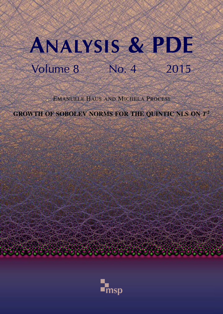# ANALYSIS & PDE Volume 8 No. 4 2015

EMANUELE HAUS AND MICHELA PROCESI

GROWTH OF SOBOLEV NORMS FOR THE QUINTIC NLS ON *T* 2

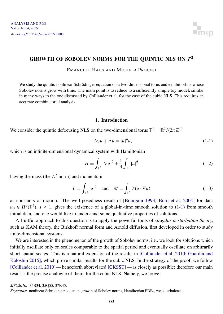

### <span id="page-1-0"></span>GROWTH OF SOBOLEV NORMS FOR THE QUINTIC NLS ON *T* 2

EMANUELE HAUS AND MICHELA PROCESI

We study the quintic nonlinear Schrödinger equation on a two-dimensional torus and exhibit orbits whose Sobolev norms grow with time. The main point is to reduce to a sufficiently simple toy model, similar in many ways to the one discussed by Colliander et al. for the case of the cubic NLS. This requires an accurate combinatorial analysis.

#### <span id="page-1-1"></span>1. Introduction

We consider the quintic defocusing NLS on the two-dimensional torus  $\mathbb{T}^2 = \mathbb{R}^2 / (2\pi \mathbb{Z})^2$ 

$$
-i\partial_t u + \Delta u = |u|^4 u,\tag{1-1}
$$

which is an infinite-dimensional dynamical system with Hamiltonian

$$
H = \int_{\mathbb{T}^2} |\nabla u|^2 + \frac{1}{3} \int_{\mathbb{T}^2} |u|^6 \tag{1-2}
$$

having the mass (the *L* <sup>2</sup> norm) and momentum

$$
L = \int_{\mathbb{T}^2} |u|^2 \quad \text{and} \quad M = \int_{\mathbb{T}^2} \mathfrak{F}(u \cdot \nabla u) \tag{1-3}
$$

as constants of motion. The well-posedness result of [\[Bourgain 1993;](#page-38-0) [Burq et al. 2004\]](#page-39-0) for data  $u_0 \in H<sup>s</sup>(\mathbb{T}^2)$ ,  $s \ge 1$ , gives the existence of a global-in-time smooth solution to [\(1-1\)](#page-1-1) from smooth initial data, and one would like to understand some qualitative properties of solutions.

A fruitful approach to this question is to apply the powerful tools of *singular perturbation theory*, such as KAM theory, the Birkhoff normal form and Arnold diffusion, first developed in order to study finite-dimensional systems.

We are interested in the phenomenon of the growth of Sobolev norms, i.e., we look for solutions which initially oscillate only on scales comparable to the spatial period and eventually oscillate on arbitrarily short spatial scales. This is a natural extension of the results in [\[Colliander et al. 2010;](#page-39-1) [Guardia and](#page-39-2) [Kaloshin 2015\]](#page-39-2), which prove similar results for the cubic NLS. In the strategy of the proof, we follow [\[Colliander et al. 2010\]](#page-39-1) — henceforth abbreviated [\[CKSST\]](#page-39-1) — as closely as possible; therefore our main result is the precise analogue of theirs for the cubic NLS. Namely, we prove:

<span id="page-1-2"></span>*MSC2010:* 35B34, 35Q55, 37K45.

*Keywords:* nonlinear Schrödinger equation, growth of Sobolev norms, Hamiltonian PDEs, weak turbulence.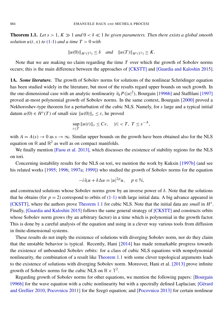**Theorem 1.1.** Let  $s > 1$ ,  $K \gg 1$  and  $0 < \delta \ll 1$  be given parameters. Then there exists a global smooth *solution*  $u(t, x)$  *to* [\(1-1\)](#page-1-1) *and a time*  $T > 0$  *with* 

$$
||u(0)||_{H^{s}(\mathbb{T}^2)} \le \delta \quad and \quad ||u(T)||_{H^{s}(\mathbb{T}^2)} \ge K.
$$

Note that we are making no claim regarding the time *T* over which the growth of Sobolev norms occurs; this is the main difference between the approaches of [\[CKSTT\]](#page-39-1) and [\[Guardia and Kaloshin 2015\]](#page-39-2).

1A. *Some literature*. The growth of Sobolev norms for solutions of the nonlinear Schrödinger equation has been studied widely in the literature, but most of the results regard upper bounds on such growth. In the one-dimensional case with an analytic nonlinearity  $\partial_{\bar{u}} P(|u|^2)$ , Bourgain [\[1996b\]](#page-39-3) and Staffilani [\[1997\]](#page-40-0) proved at-most polynomial growth of Sobolev norms. In the same context, Bourgain [\[2000\]](#page-39-4) proved a Nekhoroshev-type theorem for a perturbation of the cubic NLS. Namely, for *s* large and a typical initial datum  $u(0) \in H^s(T)$  of small size  $||u(0)||_s \leq \varepsilon$ , he proved

$$
\sup_{t\leq T}||u(t)||_s\leq C\varepsilon, \quad |t|
$$

with  $A = A(s) \rightarrow 0$  as  $s \rightarrow \infty$ . Similar upper bounds on the growth have been obtained also for the NLS equation on  $\mathbb R$  and  $\mathbb R^2$  as well as on compact manifolds.

We finally mention [\[Faou et al. 2013\]](#page-39-5), which discusses the existence of stability regions for the NLS on tori.

Concerning instability results for the NLS on tori, we mention the work by Kuksin [\[1997b\]](#page-39-6) (and see his related works [\[1995;](#page-39-7) [1996;](#page-39-8) [1997a;](#page-39-9) [1999\]](#page-39-10)) who studied the growth of Sobolev norms for the equation

$$
-i\,\partial_t u + \delta \Delta u = |u|^{2p} u, \quad p \in \mathbb{N},
$$

and constructed solutions whose Sobolev norms grow by an inverse power of  $\delta$ . Note that the solutions that he obtains (for  $p = 2$ ) correspond to orbits of [\(1-1\)](#page-1-1) with large initial data. A big advance appeared in [\[CKSTT\],](#page-39-1) where the authors prove [Theorem 1.1](#page-1-2) for cubic NLS. Note that the initial data are *small* in *H s* . Finally, [\[Guardia and Kaloshin 2015\]](#page-39-2) follows the same general strategy of [\[CKSTT\]](#page-39-1) and constructs orbits whose Sobolev norm grows (by an arbitrary factor) in a time which is polynomial in the growth factor. This is done by a careful analysis of the equation and using in a clever way various tools from diffusion in finite-dimensional systems.

These results do not imply the existence of solutions with diverging Sobolev norm, nor do they claim that the unstable behavior is typical. Recently, Hani [\[2014\]](#page-39-11) has made remarkable progress towards the existence of unbounded Sobolev orbits: for a class of cubic NLS equations with nonpolynomial nonlinearity, the combination of a result like [Theorem 1.1](#page-1-2) with some clever topological arguments leads to the existence of solutions with diverging Sobolev norm. Moreover, [Hani et al.](#page-39-12) [2013] prove infinite growth of Sobolev norms for the cubic NLS on  $\mathbb{R} \times \mathbb{T}^2$ .

Regarding growth of Sobolev norms for other equations, we mention the following papers: [\[Bourgain](#page-39-3) [1996b\]](#page-39-3) for the wave equation with a cubic nonlinearity but with a spectrally defined Laplacian; [\[Gérard](#page-39-13) [and Grellier 2010;](#page-39-13) [Pocovnicu 2011\]](#page-40-1) for the Szegö equation; and [\[Pocovnicu 2013\]](#page-40-2) for certain nonlinear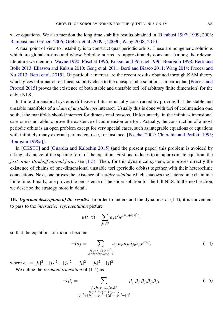wave equations. We also mention the long time stability results obtained in [\[Bambusi 1997;](#page-38-1) [1999;](#page-38-2) [2003;](#page-38-3) [Bambusi and Grébert 2006;](#page-38-4) [Grébert et al. 2009a;](#page-39-14) [2009b;](#page-39-15) [Wang 2008;](#page-40-3) [2010\]](#page-40-4).

A dual point of view to instability is to construct quasiperiodic orbits. These are nongeneric solutions which are global-in-time and whose Sobolev norms are approximately constant. Among the relevant literature we mention [\[Wayne 1990;](#page-40-5) [Pöschel 1996;](#page-40-6) [Kuksin and Pöschel 1996;](#page-40-7) [Bourgain 1998;](#page-39-16) [Berti and](#page-38-5) [Bolle 2013;](#page-38-5) [Eliasson and Kuksin 2010;](#page-39-17) [Geng et al. 2011;](#page-39-18) [Berti and Biasco 2011;](#page-38-6) [Wang 2014;](#page-40-8) [Procesi and](#page-40-9) [Xu 2013;](#page-40-9) [Berti et al. 2015\]](#page-38-7). Of particular interest are the recent results obtained through KAM theory, which gives information on linear stability close to the quasiperiodic solutions. In particular, [\[Procesi and](#page-40-10) [Procesi 2015\]](#page-40-10) proves the existence of both stable and unstable tori (of arbitrary finite dimension) for the cubic NLS.

In finite-dimensional systems diffusive orbits are usually constructed by proving that the stable and unstable manifolds of a *chain of unstable tori* intersect. Usually this is done with tori of codimension one, so that the manifolds should intersect for dimensional reasons. Unfortunately, in the infinite-dimensional case one is not able to prove the existence of codimension-one tori. Actually, the construction of almostperiodic orbits is an open problem except for very special cases, such as integrable equations or equations with infinitely many external parameters (see, for instance, [\[Pöschel 2002;](#page-40-11) [Chierchia and Perfetti 1995;](#page-39-19) [Bourgain 1996a\]](#page-39-20)).

In [\[CKSTT\]](#page-39-1) and [\[Guardia and Kaloshin 2015\]](#page-39-2) (and the present paper) this problem is avoided by taking advantage of the specific form of the equation. First one reduces to an approximate equation, the *first-order Birkhoff normal form*; see [\(1-5\).](#page-3-0) Then, for this dynamical system, one proves directly the existence of chains of one-dimensional unstable tori (periodic orbits) together with their heteroclinic connections. Next, one proves the existence of a *slider solution* which shadows the heteroclinic chain in a finite time. Finally, one proves the persistence of the slider solution for the full NLS. In the next section, we describe the strategy more in detail.

1B. *Informal description of the results.* In order to understand the dynamics of [\(1-1\),](#page-1-1) it is convenient to pass to the *interaction representation* picture

<span id="page-3-1"></span>
$$
u(t,x) = \sum_{j \in \mathbb{Z}^2} a_j(t) e^{ij \cdot x + i|j|^2 t},
$$

so that the equations of motion become

<span id="page-3-0"></span>
$$
-i\dot{a}_j = \sum_{\substack{j_1, j_2, j_3, j_4, j_5 \in \mathbb{Z}^2\\j_1+j_2+j_3-j_4-j_5=j}} a_{j_1} a_{j_2} a_{j_3} \bar{a}_{j_4} \bar{a}_{j_5} e^{i\omega_6 t},\tag{1-4}
$$

where  $\omega_6 = |j_1|^2 + |j_2|^2 + |j_3|^2 - |j_4|^2 - |j_5|^2 - |j|^2$ .

We define the *resonant truncation* of [\(1-4\)](#page-3-1) as

$$
-i\dot{\beta}_j = \sum_{\substack{j_1,j_2,j_3,j_4,j_5 \in \mathbb{Z}^2\\j_1+j_2+j_3-j_4-j_5=j\\|j_1|^2+|j_2|^2+|j_3|^2-|j_4|^2-|j_5|^2=|j|^2}} \beta_{j_1}\beta_{j_2}\beta_{j_3}\bar{\beta}_{j_4}\bar{\beta}_{j_5}.
$$
 (1-5)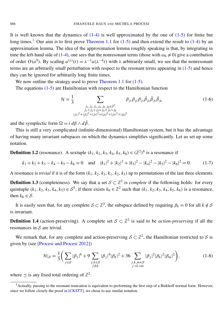It is well known that the dynamics of  $(1-4)$  is well approximated by the one of  $(1-5)$  for finite but long times.<sup>[1](#page-4-0)</sup> Our aim is to first prove [Theorem 1.1](#page-1-2) for [\(1-5\)](#page-3-0) and then extend the result to [\(1-4\)](#page-3-1) by an approximation lemma. The idea of the approximation lemma roughly speaking is that, by integrating in time the left-hand side of [\(1-4\),](#page-3-1) one sees that the nonresonant terms (those with  $\omega_6 \neq 0$ ) give a contribution of order  $O(a^9)$ . By scaling  $a^{(\lambda)}(t) = \lambda^{-1} a(\lambda^{-4}t)$  with  $\lambda$  arbitrarily small, we see that the nonresonant terms are an arbitrarily small perturbation with respect to the resonant terms appearing in [\(1-5\)](#page-3-0) and hence they can be ignored for arbitrarily long finite times.

We now outline the strategy used to prove [Theorem 1.1](#page-1-2) for  $(1-5)$ .

The equations [\(1-5\)](#page-3-0) are Hamiltonian with respect to the Hamiltonian function

<span id="page-4-1"></span>
$$
\mathcal{H} = \frac{1}{3} \sum_{\substack{j_1, j_2, j_3, j_4, j_5, j_6 \in \mathbb{Z}^2 \\ j_1 + j_2 + j_3 = j_4 + j_5 + j_6 \\ |j_1|^2 + |j_2|^2 + |j_3|^2 = |j_4|^2 + |j_5|^2 + |j_6|^2}} \beta_{j_1} \beta_{j_2} \beta_{j_3} \bar{\beta}_{j_4} \bar{\beta}_{j_5} \bar{\beta}_{j_6}
$$
(1-6)

and the symplectic form  $\Omega = i d\beta \wedge d\overline{\beta}$ .

This is still a very complicated (infinite-dimensional) Hamiltonian system, but it has the advantage of having many invariant subspaces on which the dynamics simplifies significantly. Let us set up some notation.

**Definition 1.2** (resonance). A sextuple  $(k_1, k_2, k_3, k_4, k_5, k_6) \in (\mathbb{Z}^2)^6$  is a resonance if

$$
k_1 + k_2 + k_3 - k_4 - k_5 - k_6 = 0
$$
 and  $|k_1|^2 + |k_2|^2 + |k_3|^2 - |k_4|^2 - |k_5|^2 - |k_6|^2 = 0.$  (1-7)

A resonance is *trivial* if it is of the form  $(k_1, k_2, k_3, k_1, k_2, k_3)$  up to permutations of the last three elements.

**Definition 1.3** (completeness). We say that a set  $S \subset \mathbb{Z}^2$  is *complete* if the following holds: for every quintuple  $(k_1, k_2, k_3, k_4, k_5) \in S^5$ , if there exists  $k_6 \in \mathbb{Z}^2$  such that  $(k_1, k_2, k_3, k_4, k_5, k_6)$  is a resonance, then  $k_6 \in \mathcal{S}$ .

It is easily seen that, for any complete  $S \subset \mathbb{Z}^2$ , the subspace defined by requiring  $\beta_k = 0$  for all  $k \notin S$ is invariant.

**Definition 1.4** (action-preserving). A complete set  $S \subset \mathbb{Z}^2$  is said to be *action-preserving* if all the resonances in  $S$  are trivial.

We remark that, for any complete and action-preserving  $S \subset \mathbb{Z}^2$ , the Hamiltonian restricted to S is given by (see [\[Procesi and Procesi 2012\]](#page-40-12))

$$
\mathcal{H}|_{\mathcal{S}} = \frac{1}{3} \bigg( \sum_{j \in \mathcal{S}} |\beta_j|^6 + 9 \sum_{\substack{j,k \in \mathcal{S} \\ j \neq k}} |\beta_j|^4 |\beta_k|^2 + 36 \sum_{\substack{j,k,m \in \mathcal{S} \\ j \prec k \prec m}} |\beta_j|^2 |\beta_k|^2 |\beta_m|^2 \bigg),\tag{1-8}
$$

where  $\leq$  is any fixed total ordering of  $\mathbb{Z}^2$ .

<span id="page-4-0"></span> $<sup>1</sup>$  Actually, passing to the resonant truncation is equivalent to performing the first step of a Birkhoff normal form. However,</sup> since we follow closely the proof in [\[CKSTT\],](#page-39-1) we chose to use similar notation.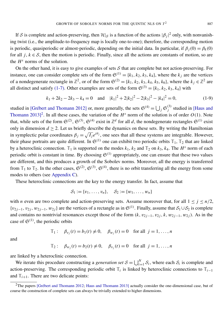If S is complete and action-preserving, then  $\mathcal{H}|_{\mathcal{S}}$  is a function of the actions  $|\beta_j|^2$  only, with nonvanishing twist (i.e., the amplitude-to-frequency map is locally one-to-one); therefore, the corresponding motion is periodic, quasiperiodic or almost-periodic, depending on the initial data. In particular, if  $\beta_i(0) = \beta_k(0)$ for all *j*,  $k \in S$ , then the motion is periodic. Finally, since all the actions are constants of motion, so are the  $H^s$  norms of the solution.

On the other hand, it is easy to give examples of sets  $S$  that are complete but not action-preserving. For instance, one can consider complete sets of the form  $\mathfrak{S}^{(1)} = \{k_1, k_2, k_3, k_4\}$ , where the  $k_j$  are the vertices of a nondegenerate rectangle in  $\mathbb{Z}^2$ , or of the form  $\mathfrak{S}^{(2)} = \{k_1, k_2, k_3, k_4, k_5, k_6\}$ , where the  $k_j \in \mathbb{Z}^2$  are all distinct and satisfy [\(1-7\).](#page-4-1) Other examples are sets of the form  $\mathfrak{S}^{(3)} = \{k_1, k_2, k_3, k_4\}$  with

$$
k_1 + 2k_2 - 2k_3 - k_4 = 0
$$
 and  $|k_1|^2 + 2|k_2|^2 - 2|k_3|^2 - |k_4|^2 = 0,$  (1-9)

studied in [\[Grébert and Thomann 2012\]](#page-39-21) or, more generally, the sets  $\mathfrak{S}^{(4)} = \bigcup_j \mathfrak{S}_j^{(3)}$  $j$ <sup>(3)</sup> studied in [\[Haus and](#page-39-22) [Thomann 2013\]](#page-39-22)<sup>[2](#page-5-0)</sup>. In all these cases, the variation of the  $H^s$  norm of the solution is of order  $O(1)$ . Note that, while sets of the form  $\mathfrak{S}^{(2)}$ ,  $\mathfrak{S}^{(3)}$ ,  $\mathfrak{S}^{(4)}$  exist in  $\mathbb{Z}^d$  for all *d*, the nondegenerate rectangles  $\mathfrak{S}^{(1)}$  exist only in dimension  $d \geq 2$ . Let us briefly describe the dynamics on these sets. By writing the Hamiltonian in symplectic polar coordinates  $\beta_j = \sqrt{I_j} e^{i\theta_j}$ , one sees that all these systems are integrable. However, their phase portraits are quite different. In  $\mathfrak{S}^{(1)}$  one can exhibit two periodic orbits  $\mathbb{T}_1$ ,  $\mathbb{T}_2$  that are linked by a heteroclinic connection.  $\mathbb{T}_1$  is supported on the modes  $k_1$ ,  $k_2$  and  $\mathbb{T}_2$  on  $k_3$ ,  $k_4$ . The  $H^s$  norm of each periodic orbit is constant in time. By choosing  $\mathfrak{S}^{(1)}$  appropriately, one can ensure that these two values are different, and this produces a growth of the Sobolev norms. Moreover, all the energy is transferred from  $\mathbb{T}_1$  to  $\mathbb{T}_2$ . In the other cases,  $\mathfrak{S}^{(2)}$ ,  $\mathfrak{S}^{(3)}$ ,  $\mathfrak{S}^{(4)}$ , there is no orbit transferring all the energy from some modes to others (see [Appendix C\)](#page-37-0).

These heteroclinic connections are the key to the energy transfer. In fact, assume that

$$
S_1 := \{v_1, \ldots, v_n\}, \quad S_2 := \{w_1, \ldots, w_n\}
$$

with *n* even are two complete and action-preserving sets. Assume moreover that, for all  $1 \le j \le n/2$ ,  $\{v_{2j-1}, v_{2j}, w_{2j-1}, w_{2j}\}\$  are the vertices of a rectangle as in  $\mathfrak{S}^{(1)}$ . Finally, assume that  $\mathcal{S}_1 \cup \mathcal{S}_2$  is complete and contains no nontrivial resonances except those of the form  $(k, v_{2j-1}, v_{2j}, k, w_{2j-1}, w_{2j})$ . As in the case of  $\mathfrak{S}^{(1)}$ , the periodic orbits

$$
\mathbb{T}_1
$$
:  $\beta_{v_j}(t) = b_1(t) \neq 0$ ,  $\beta_{w_j}(t) = 0$  for all  $j = 1, ..., n$ 

and

$$
\mathbb{T}_2
$$
:  $\beta_{w_j}(t) = b_2(t) \neq 0$ ,  $\beta_{v_j}(t) = 0$  for all  $j = 1, ..., n$ 

are linked by a heteroclinic connection.

We iterate this procedure constructing a *generation set*  $S = \bigcup_{i=1}^{N} S_i$ , where each  $S_i$  is complete and action-preserving. The corresponding periodic orbit  $\mathbb{T}_i$  is linked by heteroclinic connections to  $\mathbb{T}_{i-1}$ and  $\mathbb{T}_{i+1}$ . There are two delicate points:

<span id="page-5-0"></span><sup>&</sup>lt;sup>2</sup>The papers [\[Grébert and Thomann 2012;](#page-39-21) [Haus and Thomann 2013\]](#page-39-22) actually consider the one-dimensional case, but of course the construction of complete sets can always be trivially extended to higher dimensions.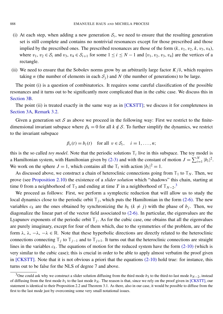- (i) At each step, when adding a new generation  $S_i$ , we need to ensure that the resulting generation set is still complete and contains no nontrivial resonances except for those prescribed and those implied by the prescribed ones. The prescribed resonances are those of the form  $(k, v_1, v_2, k, v_3, v_4)$ , where  $v_1, v_2 \in S_i$  and  $v_3, v_4 \in S_{i+1}$  for some  $1 \le i \le N-1$  and  $\{v_1, v_2, v_3, v_4\}$  are the vertices of a rectangle.
- (ii) We need to ensure that the Sobolev norms grow by an arbitrarily large factor  $K/\delta$ , which requires taking *n* (the number of elements in each  $S_i$ ) and *N* (the number of generations) to be large.

The point (i) is a question of combinatorics. It requires some careful classification of the possible resonances and it turns out to be significantly more complicated than in the cubic case. We discuss this in [Section 3B.](#page-22-0)

The point (ii) is treated exactly in the same way as in [\[CKSTT\];](#page-39-1) we discuss it for completeness in [Section 3A,](#page-19-0) [Remark 3.2.](#page-21-0)

Given a generation set S as above we proceed in the following way: First we restrict to the finitedimensional invariant subspace where  $\beta_k = 0$  for all  $k \notin S$ . To further simplify the dynamics, we restrict to the invariant subspace

$$
\beta_v(t) = b_i(t) \quad \text{for all } v \in S_i, \quad i = 1, \dots, n;
$$

this is the so called *toy model*. Note that the periodic solutions  $\mathbb{T}_i$  live in this subspace. The toy model is a Hamiltonian system, with Hamiltonian given by [\(2-3\)](#page-11-0) and with the constant of motion  $J = \sum_{i=1}^{N} |b_i|^2$ . We work on the sphere  $J = 1$ , which contains all the  $\mathbb{T}_i$  with action  $|b_i|^2 = 1$ .

As discussed above, we construct a chain of heteroclinic connections going from  $\mathbb{T}_1$  to  $\mathbb{T}_N$ . Then, we prove (see [Proposition 2.10\)](#page-16-0) the existence of a *slider solution* which "shadows" this chain, starting at time 0 from a neighborhood of  $\mathbb{T}_3$  $\mathbb{T}_3$  and ending at time *T* in a neighborhood of  $\mathbb{T}_{N-2}$ .<sup>3</sup>

We proceed as follows: First, we perform a symplectic reduction that will allow us to study the local dynamics close to the periodic orbit  $\mathbb{T}_j$ , which puts the Hamiltonian in the form [\(2-6\).](#page-13-0) The new variables  $c_k$  are the ones obtained by synchronizing the  $b_k$  ( $k \neq j$ ) with the phase of  $b_j$ . Then, we diagonalize the linear part of the vector field associated to [\(2-6\).](#page-13-0) In particular, the eigenvalues are the Lyapunov exponents of the periodic orbit  $\mathbb{T}_j$ . As for the cubic case, one obtains that all the eigenvalues are purely imaginary, except for four of them which, due to the symmetries of the problem, are of the form  $\lambda$ ,  $\lambda$ ,  $-\lambda$ ,  $-\lambda \in \mathbb{R}$ . Note that these hyperbolic directions are directly related to the heteroclinic connections connecting  $\mathbb{T}_j$  to  $\mathbb{T}_{j-1}$  and to  $\mathbb{T}_{j+1}$ . It turns out that the heteroclinic connections are straight lines in the variables  $c_k$ . The equations of motion for the reduced system have the form  $(2-10)$  (which is very similar to the cubic case); this is crucial in order to be able to apply almost verbatim the proof given in [\[CKSTT\].](#page-39-1) Note that it is not obvious a priori that the equations [\(2-10\)](#page-15-0) hold true: for instance, this turns out to be false for the NLS of degree 7 and above.

<span id="page-6-0"></span><sup>&</sup>lt;sup>3</sup>One could ask why we construct a slider solution diffusing from the third mode  $b_3$  to the third-to-last mode  $b_{N-2}$ , instead of diffusing from the first mode  $b_1$  to the last mode  $b_N$ . The reason is that, since we rely on the proof given in [\[CKSTT\],](#page-39-1) our statement is identical to their Proposition 2.2 and Theorem 3.1. As there, also in our case, it would be possible to diffuse from the first to the last mode just by overcoming some very small notational issues.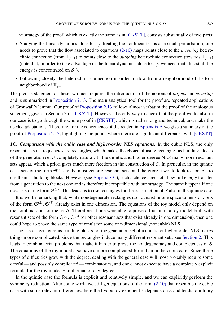The strategy of the proof, which is exactly the same as in [\[CKSTT\],](#page-39-1) consists substantially of two parts:

- Studying the linear dynamics close to  $\mathbb{T}_j$ , treating the nonlinear terms as a small perturbation; one needs to prove that the flow associated to equations [\(2-10\)](#page-15-0) maps points close to the *incoming* heteroclinic connection (from  $\mathbb{T}_{i-1}$ ) to points close to the *outgoing* heteroclinic connection (towards  $\mathbb{T}_{i+1}$ ) (note that, in order to take advantage of the linear dynamics close to  $\mathbb{T}_j$ , we need that almost all the energy is concentrated on  $S_i$ ).
- Following closely the heteroclinic connection in order to flow from a neighborhood of  $\mathbb{T}_j$  to a neighborhood of  $\mathbb{T}_{i+1}$ .

The precise statement of these two facts requires the introduction of the notions of *targets* and *covering* and is summarized in [Proposition 2.13.](#page-18-0) The main analytical tool for the proof are repeated applications of Gronwall's lemma. Our proof of [Proposition 2.13](#page-18-0) follows almost verbatim the proof of the analogous statement, given in Section 3 of [\[CKSTT\].](#page-39-1) However, the only way to check that the proof works also in our case is to go through the whole proof in [\[CKSTT\],](#page-39-1) which is rather long and technical, and make the needed adaptations. Therefore, for the convenience of the reader, in [Appendix A](#page-31-0) we give a summary of the proof of [Proposition 2.13,](#page-18-0) highlighting the points where there are significant differences with [\[CKSTT\].](#page-39-1)

1C. *Comparison with the cubic case and higher-order NLS equations.* In the cubic NLS, the only resonant sets of frequencies are rectangles, which makes the choice of using rectangles as building blocks of the generation set S completely natural. In the quintic and higher-degree NLS many more resonant sets appear, which a priori gives much more freedom in the construction of  $S$ . In particular, in the quintic case, sets of the form  $\mathfrak{S}^{(2)}$  are the most generic resonant sets, and therefore it would look reasonable to use them as building blocks. However (see [Appendix C\)](#page-37-0), such a choice does not allow full energy transfer from a generation to the next one and is therefore incompatible with our strategy. The same happens if one uses sets of the form  $\mathfrak{S}^{(3)}$ . This leads us to use rectangles for the construction of S also in the quintic case.

It is worth remarking that, while nondegenerate rectangles do not exist in one space dimension, sets of the form  $\mathfrak{S}^{(2)}$ ,  $\mathfrak{S}^{(3)}$  already exist in one dimension. The equations of the toy model only depend on the combinatorics of the set S. Therefore, if one were able to prove diffusion in a toy model built with resonant sets of the form  $\mathfrak{S}^{(2)}$ ,  $\mathfrak{S}^{(3)}$  (or other resonant sets that exist already in one dimension), then one could hope to prove the same type of result for some one-dimensional (noncubic) NLS.

The use of rectangles as building blocks for the generation set of a quintic or higher-order NLS makes things more complicated, since the rectangles induce many different resonant sets; see [Section 2.](#page-8-0) This leads to combinatorial problems that make it harder to prove the nondegeneracy and completeness of S. The equations of the toy model also have a more complicated form than in the cubic case. Since these types of difficulties grow with the degree, dealing with the general case will most probably require some careful — and possibly complicated — combinatorics, and one cannot expect to have a completely explicit formula for the toy model Hamiltonian of any degree.

In the quintic case the formula is explicit and relatively simple, and we can explicitly perform the symmetry reduction. After some work, we still get equations of the form [\(2-10\)](#page-15-0) that resemble the cubic case with some relevant differences: here the Lyapunov exponent λ depends on *n* and tends to infinity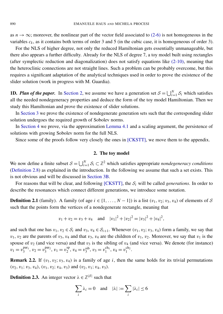as  $n \to \infty$ ; moreover, the nonlinear part of the vector field associated to [\(2-6\)](#page-13-0) is not homogeneous in the variables  $c_k$ , as it contains both terms of order 3 and 5 (in the cubic case, it is homogeneous of order 3).

For the NLS of higher degree, not only the reduced Hamiltonian gets essentially unmanageable, but there also appears a further difficulty. Already for the NLS of degree 7, a toy model built using rectangles (after symplectic reduction and diagonalization) does not satisfy equations like [\(2-10\),](#page-15-0) meaning that the heteroclinic connections are not straight lines. Such a problem can be probably overcome, but this requires a significant adaptation of the analytical techniques used in order to prove the existence of the slider solution (work in progress with M. Guardia).

**1D.** *Plan of the paper.* In [Section 2,](#page-8-0) we assume we have a generation set  $S = \bigcup_{i=1}^{N} S_i$  which satisfies all the needed nondegeneracy properties and deduce the form of the toy model Hamiltonian. Then we study this Hamiltonian and prove the existence of slider solutions.

In [Section 3](#page-19-1) we prove the existence of nondegenerate generation sets such that the corresponding slider solution undergoes the required growth of Sobolev norms.

In [Section 4](#page-28-0) we prove, via the approximation [Lemma 4.1](#page-28-1) and a scaling argument, the persistence of solutions with growing Sobolev norm for the full NLS.

Since some of the proofs follow very closely the ones in [\[CKSTT\],](#page-39-1) we move them to the appendix.

#### 2. The toy model

<span id="page-8-0"></span>We now define a finite subset  $S = \bigcup_{i=1}^{N} S_i \subset \mathbb{Z}^2$  which satisfies appropriate *nondegeneracy conditions* [\(Definition 2.8\)](#page-9-0) as explained in the introduction. In the following we assume that such a set exists. This is not obvious and will be discussed in [Section 3B.](#page-22-0)

For reasons that will be clear, and following [\[CKSTT\],](#page-39-1) the S*<sup>i</sup>* will be called *generations*. In order to describe the resonances which connect different generations, we introduce some notation.

**Definition 2.1** (family). A family (of age  $i \in \{1, \ldots, N-1\}$ ) is a list  $(v_1, v_2; v_3, v_4)$  of elements of S such that the points form the vertices of a nondegenerate rectangle, meaning that

$$
v_1 + v_2 = v_3 + v_4
$$
 and  $|v_1|^2 + |v_2|^2 = |v_3|^2 + |v_4|^2$ ,

and such that one has  $v_1, v_2 \in S_i$  and  $v_3, v_4 \in S_{i+1}$ . Whenever  $(v_1, v_2; v_3, v_4)$  form a family, we say that  $v_1$ ,  $v_2$  are the parents of  $v_3$ ,  $v_4$  and that  $v_3$ ,  $v_4$  are the children of  $v_1$ ,  $v_2$ . Moreover, we say that  $v_1$  is the spouse of  $v_2$  (and vice versa) and that  $v_3$  is the sibling of  $v_4$  (and vice versa). We denote (for instance)  $v_1 = v_3^{\text{par}_1}, v_2 = v_3^{\text{par}_2}, v_1 = v_2^{\text{sp}}$  $v_2^{\text{sp}}, v_4 = v_3^{\text{sib}}, v_3 = v_1^{\text{ch}_1}, v_4 = v_1^{\text{ch}_2}.$ 

**Remark 2.2.** If  $(v_1, v_2; v_3, v_4)$  is a family of age *i*, then the same holds for its trivial permutations  $(v_2, v_1; v_3, v_4), (v_1, v_2; v_4, v_3)$  and  $(v_2, v_1; v_4, v_3)$ .

**Definition 2.3.** An integer vector  $\lambda \in \mathbb{Z}^{|S|}$  such that

$$
\sum_{i} \lambda_i = 0 \quad \text{and} \quad |\lambda| := \sum_{i} |\lambda_i| \le 6
$$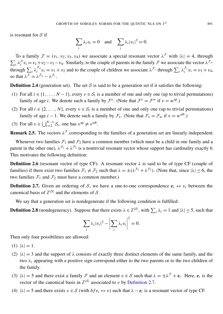is resonant for S if

$$
\sum_{i} \lambda_i v_i = 0 \text{ and } \sum_{i} \lambda_i |v_i|^2 = 0.
$$

To a family  $\mathcal{F} = (v_1, v_2; v_3, v_4)$  we associate a special resonant vector  $\lambda^{\mathcal{F}}$  with  $|\lambda| = 4$ , through  $\sum_i \lambda_i^T v_i = v_1 + v_2 - v_3 - v_4$ . Similarly, to the couple of parents in the family F we associate the vector  $\lambda^F p$ through  $\sum_i \lambda_i^{\mathcal{F}_p}$  $\sum_i^{\mathcal{F}_p} v_i = v_1 + v_2$  and to the couple of children we associate  $\lambda^{\mathcal{F}_c}$  through  $\sum_i \lambda_i^{\mathcal{F}_c} v_i = v_3 + v_4$ , so that  $\lambda^{\mathcal{F}} = \lambda^{\mathcal{F}_p} - \lambda^{\mathcal{F}_c}$ .

**Definition 2.4** (generation set). The set S is said to be a generation set if it satisfies the following:

- (1) For all  $i \in \{1, ..., N-1\}$ , every  $v \in S_i$  is a member of one and only one (up to trivial permutations) family of age *i*. We denote such a family by  $\mathcal{F}^v$ . (Note that  $\mathcal{F}^v = \mathcal{F}^w$  if  $v = w^{\text{sp}}$ .)
- (2) For all  $i \in \{2, ..., N\}$ , every  $v \in S_i$  is a member of one and only one (up to trivial permutations) family of age *i* − 1. We denote such a family by  $\mathcal{F}_v$ . (Note that  $\mathcal{F}_v = \mathcal{F}_w$  if  $v = w^{\text{sib}}$ .)
- (3) For all  $v \in \bigcup_{i=2}^{N-1} S_i$ , one has  $v^{\text{sp}} \neq v^{\text{sib}}$ .

**Remark 2.5.** The vectors  $\lambda^F$  corresponding to the families of a generation set are linearly independent.

Whenever two families  $\mathcal{F}_1$  and  $\mathcal{F}_2$  have a common member (which must be a child in one family and a parent in the other one),  $\lambda^{F_1} + \lambda^{F_2}$  is a nontrivial resonant vector whose support has cardinality exactly 6. This motivates the following definition:

**Definition 2.6** (resonant vector of type CF). A resonant vector  $\lambda$  is said to be of type CF (couple of families) if there exist two families  $\mathcal{F}_1 \neq \mathcal{F}_2$  such that  $\lambda = \pm (\lambda^{\mathcal{F}_1} + \lambda^{\mathcal{F}_2})$ . (Note that, since  $|\lambda| \leq 6$ , the two families  $\mathcal{F}_1$  and  $\mathcal{F}_2$  must have a common member.)

<span id="page-9-1"></span>**Definition 2.7.** Given an ordering of S, we have a one-to-one correspondence  $e_i \leftrightarrow v_i$  between the canonical basis of  $\mathbb{Z}^{|S|}$  and the elements of S.

We say that a generation set is nondegenerate if the following condition is fulfilled:

<span id="page-9-0"></span>**Definition 2.8** (nondegeneracy). Suppose that there exists  $\lambda \in \mathbb{Z}^{|\mathcal{S}|}$ , with  $\sum_i \lambda_i = 1$  and  $|\lambda| \leq 5$ , such that

$$
\sum_{i} \lambda_i |v_i|^2 - \left| \sum_{i} \lambda_i v_i \right|^2 = 0.
$$

Then only four possibilities are allowed:

- (1)  $|\lambda| = 1$ .
- (2)  $|\lambda| = 3$  and the support of  $\lambda$  consists of exactly three distinct elements of the same family, and the two  $\lambda_i$  appearing with a positive sign correspond either to the two parents or to the two children of the family.
- (3)  $|\lambda| = 5$  and there exist a family F and an element  $v \in S$  such that  $\lambda = \pm \lambda^F + e_i$ . Here,  $e_i$  is the vector of the canonical basis in  $\mathbb{Z}^{|S|}$  associated to v by [Definition 2.7.](#page-9-1)
- (4)  $|\lambda| = 5$  and there exists  $v \in S$  (with  $bf e_i \leftrightarrow v$ ) such that  $\lambda e_i$  is a resonant vector of type CF.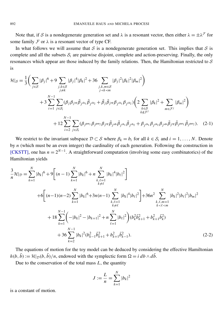Note that, if S is a nondegenerate generation set and  $\lambda$  is a resonant vector, then either  $\lambda = \pm \lambda^{\mathcal{F}}$  for some family  $\mathcal F$  or  $\lambda$  is a resonant vector of type CF.

In what follows we will assume that S is a nondegenerate generation set. This implies that S is complete and all the subsets  $S_i$  are pairwise disjoint, complete and action-preserving. Finally, the only resonances which appear are those induced by the family relations. Then, the Hamiltonian restricted to S is

<span id="page-10-1"></span>
$$
\mathcal{H}|_{\mathcal{S}} = \frac{1}{3} \Big( \sum_{j \in \mathcal{S}} |\beta_j|^6 + 9 \sum_{\substack{j,k \in \mathcal{S} \\ j \neq k}} |\beta_j|^4 |\beta_k|^2 + 36 \sum_{\substack{j,k,m \in \mathcal{S} \\ j \prec k \prec m}} |\beta_j|^2 |\beta_k|^2 |\beta_m|^2 \Big) \n+ 3 \sum_{i=1}^{N-1} \sum_{j \in \mathcal{S}_i} (\beta_j \beta_{j^{sp}} \bar{\beta}_{j^{ch_1}} \bar{\beta}_{j^{ch_2}} + \bar{\beta}_j \bar{\beta}_j^{sp} \beta_{j^{ch_1}} \beta_{j^{ch_2}}) \Big( 2 \sum_{\substack{k \in \mathcal{S} \\ k \notin \mathcal{F}^j}} |\beta_k|^2 + \sum_{m \in \mathcal{F}^j} |\beta_m|^2 \Big) \n+ 12 \sum_{i=2}^{N-1} \sum_{j \in \mathcal{S}_i} (\beta_{j^{par_1}} \beta_{j^{par_2}} \beta_{j^{sp}} \bar{\beta}_{j^{sh}} \bar{\beta}_{j^{ch_1}} \bar{\beta}_{j^{ch_2}} + \beta_{j^{ch_1}} \beta_{j^{ch_2}} \beta_{j^{sh}} \bar{\beta}_{j^{sp}} \bar{\beta}_{j^{par_1}} \bar{\beta}_{j^{par_2}}). \tag{2-1}
$$

We restrict to the invariant subspace  $D \subset S$  where  $\beta_k = b_i$  for all  $k \in S_i$  and  $i = 1, ..., N$ . Denote by *n* (which must be an even integer) the cardinality of each generation. Following the construction in [\[CKSTT\],](#page-39-1) one has  $n = 2^{N-1}$ . A straightforward computation (involving some easy combinatorics) of the Hamiltonian yields

<span id="page-10-0"></span>
$$
\frac{3}{n}\mathcal{H}|_{\mathcal{D}} = \sum_{k=1}^{N} |b_k|^6 + 9 \Big[ (n-1) \sum_{k=1}^{N} |b_k|^6 + n \sum_{\substack{k,\ell=1 \ k \neq \ell}}^{N} |b_k|^4 |b_\ell|^2 \Big] \n+ 6 \Big[ (n-1)(n-2) \sum_{k=1}^{N} |b_k|^6 + 3n(n-1) \sum_{\substack{k,\ell=1 \ k \neq \ell}}^{N} |b_k|^4 |b_\ell|^2 \Big] + 36n^2 \sum_{\substack{k,\ell,m=1 \ k < \ell < m}}^{N} |b_k|^2 |b_\ell|^2 |b_m|^2 \n+ 18 \sum_{k=1}^{N-1} \Big( -|b_k|^2 - |b_{k+1}|^2 + n \sum_{\ell=1}^{N} |b_\ell|^2 \Big) (b_k^2 \bar{b}_{k+1}^2 + b_{k+1}^2 \bar{b}_k^2) \n+ 36 \sum_{k=2}^{N-1} |b_k|^2 (b_{k-1}^2 \bar{b}_{k+1}^2 + b_{k+1}^2 \bar{b}_{k-1}^2).
$$
\n(2-2)

The equations of motion for the toy model can be deduced by considering the effective Hamiltonian  $h(b, \bar{b}) := \mathcal{H}|_{\mathcal{D}}(b, \bar{b})/n$ , endowed with the symplectic form  $\Omega = i \, db \wedge d\bar{b}$ .

Due to the conservation of the total mass *L*, the quantity

$$
J := \frac{L}{n} = \sum_{k=1}^{N} |b_k|^2
$$

is a constant of motion.

 $\overline{1}$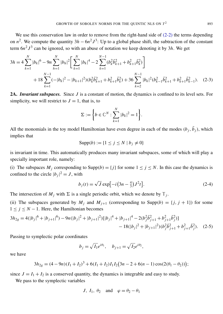We use this conservation law in order to remove from the right-hand side of  $(2-2)$  the terms depending on  $n^2$ . We compute the quantity  $3h - 6n^2 J^3$ : Up to a global phase shift, the subtraction of the constant term  $6n^2J^3$  can be ignored, so with an abuse of notation we keep denoting it by 3*h*. We get

$$
3h = 4 \sum_{k=1}^{N} |b_k|^6 - 9n \sum_{h=1}^{N} |b_h|^2 \bigg[ \sum_{k=1}^{N} |b_k|^4 - 2 \sum_{k=1}^{N-1} (b_k^2 \overline{b}_{k+1}^2 + b_{k+1}^2 \overline{b}_k^2) \bigg] + 18 \sum_{k=1}^{N-1} (-|b_k|^2 - |b_{k+1}|^2) (b_k^2 \overline{b}_{k+1}^2 + b_{k+1}^2 \overline{b}_k^2) + 36 \sum_{k=2}^{N-1} |b_k|^2 (b_{k-1}^2 \overline{b}_{k+1}^2 + b_{k+1}^2 \overline{b}_{k-1}^2). \tag{2-3}
$$

2A. *Invariant subspaces.* Since *J* is a constant of motion, the dynamics is confined to its level sets. For simplicity, we will restrict to  $J = 1$ , that is, to

<span id="page-11-0"></span>
$$
\Sigma := \left\{ b \in \mathbb{C}^N : \sum_{k=1}^N |b_k|^2 = 1 \right\}.
$$

All the monomials in the toy model Hamiltonian have even degree in each of the modes  $(b_j, \bar{b}_j)$ , which implies that

$$
Supp(b) := \{1 \le j \le N \mid b_j \ne 0\}
$$

is invariant in time. This automatically produces many invariant subspaces, some of which will play a specially important role, namely:

(i) The subspaces  $M_j$  corresponding to  $\text{Supp}(b) = \{j\}$  for some  $1 \le j \le N$ . In this case the dynamics is confined to the circle  $|b_j|^2 = J$ , with

<span id="page-11-2"></span><span id="page-11-1"></span>
$$
b_j(t) = \sqrt{J} \exp[-i(3n - \frac{4}{3})J^2 t].
$$
 (2-4)

The intersection of  $M_j$  with  $\Sigma$  is a single periodic orbit, which we denote by  $\mathbb{T}_j$ .

(ii) The subspaces generated by  $M_j$  and  $M_{j+1}$  (corresponding to Supp(b) = { $j, j + 1$ }) for some  $1 \leq j \leq N-1$ . Here, the Hamiltonian becomes

$$
3h_{2g} = 4(|b_j|^6 + |b_{j+1}|^6) - 9n(|b_j|^2 + |b_{j+1}|^2)[|b_j|^4 + |b_{j+1}|^4 - 2(b_j^2\bar{b}_{j+1}^2 + b_{j+1}^2\bar{b}_j^2)]
$$
  
- 18(|b\_j|^2 + |b\_{j+1}|^2)(b\_j^2\bar{b}\_{j+1}^2 + b\_{j+1}^2\bar{b}\_j^2). (2-5)

Passing to symplectic polar coordinates

$$
b_j = \sqrt{I_1}e^{i\theta_1}, \quad b_{j+1} = \sqrt{I_2}e^{i\theta_2},
$$

we have

$$
3h_{2g} = (4-9n)(I_1 + I_2)^3 + 6(I_1 + I_2)I_1I_2(3n - 2 + 6(n - 1)\cos(2(\theta_1 - \theta_2)))
$$

since  $J = I_1 + I_2$  is a conserved quantity, the dynamics is integrable and easy to study.

We pass to the symplectic variables

$$
J, I_1, \theta_2 \quad \text{and} \quad \varphi = \theta_2 - \theta_1
$$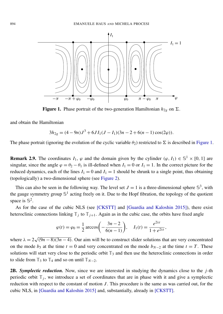<span id="page-12-0"></span>

Figure 1. Phase portrait of the two-generation Hamiltonian  $h_{2g}$  on  $\Sigma$ .

and obtain the Hamiltonian

$$
3h_{2g} = (4-9n)J^3 + 6JI_1(J-I_1)(3n-2+6(n-1)\cos(2\varphi)).
$$

The phase portrait (ignoring the evolution of the cyclic variable  $\theta_2$ ) restricted to  $\Sigma$  is described in [Figure 1.](#page-12-0)

**Remark 2.9.** The coordinates  $I_1$ ,  $\varphi$  and the domain given by the cylinder  $(\varphi, I_1) \in \mathbb{S}^1 \times [0, 1]$  are singular, since the angle  $\varphi = \theta_2 - \theta_1$  is ill-defined when  $I_1 = 0$  or  $I_1 = 1$ . In the correct picture for the reduced dynamics, each of the lines  $I_1 = 0$  and  $I_1 = 1$  should be shrunk to a single point, thus obtaining (topologically) a two-dimensional sphere (see [Figure 2\)](#page-14-0).

This can also be seen in the following way. The level set  $J = 1$  is a three-dimensional sphere  $\mathbb{S}^3$ , with the gauge symmetry group  $\mathbb{S}^1$  acting freely on it. Due to the Hopf fibration, the topology of the quotient space is  $\mathbb{S}^2$ .

As for the case of the cubic NLS (see [\[CKSTT\]](#page-39-1) and [\[Guardia and Kaloshin 2015\]](#page-39-2)), there exist heteroclinic connections linking  $\mathbb{T}_j$  to  $\mathbb{T}_{j+1}$ . Again as in the cubic case, the orbits have fixed angle

$$
\varphi(t) = \varphi_0 = \frac{1}{2} \arccos\left(-\frac{3n-2}{6(n-1)}\right), \quad I_1(t) = \frac{e^{2\lambda t}}{1 + e^{2\lambda t}},
$$

where  $\lambda = 2$ √  $(9n-8)(3n-4)$ . Our aim will be to construct slider solutions that are very concentrated on the mode  $b_3$  at the time  $t = 0$  and very concentrated on the mode  $b_{N-2}$  at the time  $t = T$ . These solutions will start very close to the periodic orbit  $\mathbb{T}_3$  and then use the heteroclinic connections in order to slide from  $\mathbb{T}_3$  to  $\mathbb{T}_4$  and so on until  $\mathbb{T}_{N-2}$ .

2B. *Symplectic reduction.* Now, since we are interested in studying the dynamics close to the *j*-th periodic orbit  $\mathbb{T}_j$ , we introduce a set of coordinates that are in phase with it and give a symplectic reduction with respect to the constant of motion *J* . This procedure is the same as was carried out, for the cubic NLS, in [\[Guardia and Kaloshin 2015\]](#page-39-2) and, substantially, already in [\[CKSTT\].](#page-39-1)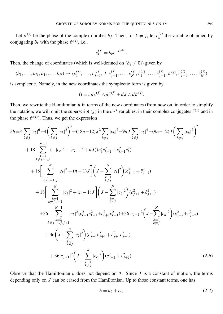Let  $\vartheta^{(j)}$  be the phase of the complex number  $b_j$ . Then, for  $k \neq j$ , let  $c_k^{(j)}$  $\binom{f}{k}$  the variable obtained by conjugating  $b_k$  with the phase  $\vartheta^{(j)}$ , i.e.,

$$
c_k^{(j)} = b_k e^{-i\vartheta^{(j)}}.
$$

Then, the change of coordinates (which is well-defined on  ${b_j \neq 0}$ ) given by

$$
(b_1, \ldots, b_N, \bar{b}_1, \ldots, \bar{b}_N) \mapsto (c_1^{(j)}, \ldots, c_{j-1}^{(j)}, J, c_{j+1}^{(j)}, \ldots, c_N^{(j)}, \bar{c}_1^{(j)}, \ldots, \bar{c}_{j-1}^{(j)}, \vartheta^{(j)}, \bar{c}_{j+1}^{(j)}, \ldots, \bar{c}_N^{(j)})
$$

is symplectic. Namely, in the new coordinates the symplectic form is given by

<span id="page-13-0"></span>
$$
\Omega = i \, d c^{(j)} \wedge d \bar{c}^{(j)} + d J \wedge d \vartheta^{(j)}.
$$

Then, we rewrite the Hamiltonian *h* in terms of the new coordinates (from now on, in order to simplify the notation, we will omit the superscript (*j*) in the  $c^{(j)}$  variables, in their complex conjugates  $\bar{c}^{(j)}$  and in the phase  $\vartheta^{(j)}$ ). Thus, we get the expression

$$
3h = 4 \sum_{k \neq j} |c_k|^6 - 4\left(\sum_{k \neq j} |c_k|^2\right)^3 + (18n - 12)J^2 \sum_{k \neq j} |c_k|^2 - 9nJ \sum_{k \neq j} |c_k|^4 - (9n - 12)J\left(\sum_{k \neq j} |c_k|^2\right)^2
$$
  
+ 18  $\sum_{k=1}^{N-1} (-|c_k|^2 - |c_{k+1}|^2 + nJ)(c_k^2 \bar{c}_{k+1}^2 + c_{k+1}^2 \bar{c}_k^2)$   
+ 18  $\Biggl[\sum_{k=1}^{N} |c_k|^2 + (n - 1)J\Biggr] \Biggl(J - \sum_{\substack{\ell=1 \ \ell \neq j}}^{N} |c_\ell|^2\Biggr) (c_{j-1}^2 + \bar{c}_{j-1}^2)$   
+ 18  $\Biggl[\sum_{\substack{k=1 \ k \neq j, j+1}}^{N} |c_k|^2 + (n - 1)J\Biggr] \Biggl(J - \sum_{\substack{\ell=1 \ \ell \neq j}}^{N} |c_\ell|^2\Biggr) (c_{j+1}^2 + \bar{c}_{j+1}^2)$   
+ 36  $\sum_{\substack{k=2 \ k \neq j-1, j, j+1}}^{N-1} |c_k|^2 (c_{k-1}^2 \bar{c}_{k+1}^2 + c_{k+1}^2 \bar{c}_{k-1}^2) + 36|c_{j-1}|^2 \Biggl(J - \sum_{\substack{k=1 \ k \neq j}}^{N} |c_k|^2\Biggr) (c_{j-2}^2 + \bar{c}_{j-2}^2)$   
+ 36  $\Biggl(J - \sum_{\substack{k=1 \ k \neq j}}^{N} |c_k|^2\Biggr) (c_{j-1}^2 \bar{c}_{j+1}^2 + c_{j+1}^2 \bar{c}_{j-1}^2)$   
+ 36  $\Biggl(J - \sum_{\substack{k=1 \ k \neq j}}^{N} |c_k|^2\Biggr) (c_{j+2}^2 + \bar{c}_{j+2}^2).$  (2-6)

Observe that the Hamiltonian *h* does not depend on  $\vartheta$ . Since *J* is a constant of motion, the terms depending only on *J* can be erased from the Hamiltonian. Up to those constant terms, one has

$$
h = h_2 + r_4,\t\t(2-7)
$$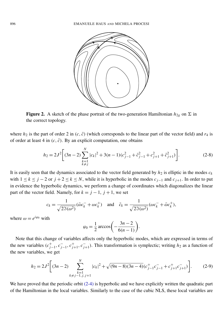<span id="page-14-0"></span>

Figure 2. A sketch of the phase portrait of the two-generation Hamiltonian  $h_{2g}$  on  $\Sigma$  in the correct topology.

where  $h_2$  is the part of order 2 in  $(c, \bar{c})$  (which corresponds to the linear part of the vector field) and  $r_4$  is of order at least 4 in  $(c, \bar{c})$ . By an explicit computation, one obtains

$$
h_2 = 2J^2 \bigg[ (3n-2) \sum_{\substack{k=1\\k \neq j}}^N |c_k|^2 + 3(n-1)(c_{j-1}^2 + \bar{c}_{j-1}^2 + c_{j+1}^2 + \bar{c}_{j+1}^2) \bigg].
$$
 (2-8)

It is easily seen that the dynamics associated to the vector field generated by  $h_2$  is elliptic in the modes  $c_k$ with  $1 \le k \le j - 2$  or  $j + 2 \le k \le N$ , while it is hyperbolic in the modes  $c_{j-1}$  and  $c_{j+1}$ . In order to put in evidence the hyperbolic dynamics, we perform a change of coordinates which diagonalizes the linear part of the vector field. Namely, for  $k = j - 1$ ,  $j + 1$ , we set

$$
c_k = \frac{1}{\sqrt{2\Im(\omega^2)}} (\bar{\omega}c_k^- + \omega c_k^+) \quad \text{and} \quad \bar{c}_k = \frac{1}{\sqrt{2\Im(\omega^2)}} (\omega c_k^- + \bar{\omega} c_k^+),
$$

where  $\omega = e^{i\varphi_0}$  with

$$
\varphi_0 = \frac{1}{2}\arccos\bigg(-\frac{3n-2}{6(n-1)}\bigg).
$$

Note that this change of variables affects only the hyperbolic modes, which are expressed in terms of the new variables  $(c_i^+)$ <sup>+</sup><sub>j−1</sub>,  $c^-$ <sub>j</sub> <sup>−</sup><sub>j−1</sub>,  $c$ <sup>+</sup><sub>j</sub>−</sup> <sup>+</sup><sub>j+1</sub>,  $c^-$ <sub>j</sub>−  $\bar{j}_{+1}$ ). This transformation is symplectic; writing  $h_2$  as a function of the new variables, we get

$$
h_2 = 2J^2 \left[ (3n-2) \sum_{\substack{k=1\\k \neq j-1, j, j+1}}^N |c_k|^2 + \sqrt{(9n-8)(3n-4)} (c_{j-1}^+ c_{j-1}^- + c_{j+1}^+ c_{j+1}^-) \right].
$$
 (2-9)

We have proved that the periodic orbit [\(2-4\)](#page-11-1) is hyperbolic and we have explicitly written the quadratic part of the Hamiltonian in the local variables. Similarly to the case of the cubic NLS, these local variables are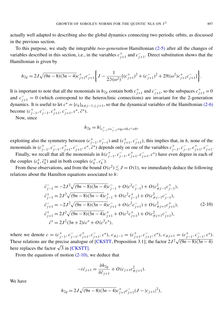actually well adapted to describing also the global dynamics connecting two periodic orbits, as discussed in the previous section.

To this purpose, we study the integrable *two-generation* Hamiltonian [\(2-5\)](#page-11-2) after all the changes of variables described in this section, i.e., in the variables  $c_{i}^{+}$  $j+1$  and  $c^{-}$  $\bar{j}_{j+1}$ . Direct substitution shows that the Hamiltonian is given by

$$
h_{2g} = 2J\sqrt{(9n-8)(3n-4)}c_{j+1}^{+}c_{j+1}^{-}\left\{J - \frac{1}{2\Im(\omega^{2})}[(c_{j+1}^{+})^{2} + (c_{j+1}^{-})^{2} + 2\Re(\omega^{2})c_{j+1}^{+}c_{j+1}^{-}] \right\}.
$$

It is important to note that all the monomials in  $h_{2g}$  contain both  $c_{j}^{+}$  $j+1$  and  $c^{-}$  $\bar{i}_{j+1}$ , so the subspaces  $c_{j+1}^+ = 0$ and  $c_{j+1}^- = 0$  (which correspond to the heteroclinic connections) are invariant for the 2-generation dynamics. It is useful to let  $c^* = \{c_h\}_{h \neq j-1, j, j+1}$ , so that the dynamical variables of the Hamiltonian [\(2-6\)](#page-13-0) become  $(c_i^+)$ <sup>+</sup><sub>j−1</sub>,  $c^-$ <sub>j</sub> <sup>−</sup><sub>j−1</sub>,  $c$ <sup>+</sup><sub>j</sub>−</sup> <sup>+</sup><br>*j*+1</sub>, *c*<sup>*j*</sup>- $\bar{c}^*, \bar{c}^*$ ).

Now, since

<span id="page-15-0"></span>
$$
h_{2g} = h|_{c_{j-1}^+ = c_{j-1}^- = q_1 = 0, c^* = 0},
$$

exploiting also the symmetry between  $(c_i^+)$ <sup>+</sup><sub>j−1</sub>,  $c^-$ <sub>j</sub>  $\bar{f}_{j-1}$ ) and  $(c_j^+)$ <sup>+</sup><sub>*j*+1</sub>, *c*<sup>−</sup><sub>*j*−</sub>  $\bar{j}_{+1}$ ), this implies that, in *h*, none of the monomials in  $(c_i^+)$ <sup>+</sup><sub>j−1</sub>,  $c^-$ <sub>j</sub> <sup>−</sup><sub>j−1</sub>,  $c$ <sup>+</sup><sub>j</sub>−</sup> <sup>+</sup><sub>j+1</sub>,  $c^-$ <sub>j</sub>−  $\bar{c}$ <sub>*j*+1</sub>,  $c^*$ ,  $\bar{c}^*$ ) depends only on one of the variables  $c^+$ <sup>+</sup><sub>j−1</sub>,  $c^-$ <sub>j</sub> <sup>−</sup><sub>j−1</sub>,  $c$ <sup>+</sup><sub>j</sub>−</sup> *j*+1 , *c* − –<br>*j*+1·

Finally, we recall that all the monomials in  $h(c_i)$ <sup>+</sup><sub>j−1</sub>,  $c^-$ <sub>j</sub> <sup>−</sup><sub>j−1</sub>,  $c$ <sup>+</sup><sub>j</sub>−</sup> <sup>+</sup><sub>j+1</sub>,  $c^-$ <sub>j</sub>−  $\bar{j}_{j+1}$ ,  $c^*$ ) have even degree in each of the couples  $(c_k^*)$  $\bar{c}_k^*, \bar{c}_k^*$  $k$ ) and in both couples  $(c_k^+)$  $k^+$ ,  $c_k^$ *k* ).

From these observations, and from the bound  $O(c^2) \lesssim J = O(1)$ , we immediately deduce the following relations about the Hamilton equations associated to *h*:

$$
\begin{aligned}\n\dot{c}_{j-1}^+ &= -2J^2\sqrt{(9n-8)(3n-4)}c_{j-1}^- + O(c^2c_{j-1}^-) + O(c_{\neq j-1}^2c_{j-1}^+), \\
\dot{c}_{j-1}^+ &= 2J^2\sqrt{(9n-8)(3n-4)}c_{j-1}^+ + O(c^2c_{j-1}^+) + O(c_{\neq j-1}^2c_{j-1}^-), \\
\dot{c}_{j+1}^- &= -2J^2\sqrt{(9n-8)(3n-4)}c_{j+1}^- + O(c^2c_{j+1}^-) + O(c_{\neq j+1}^2c_{j+1}^+), \\
\dot{c}_{j+1}^+ &= 2J^2\sqrt{(9n-8)(3n-4)}c_{j+1}^+ + O(c^2c_{j+1}^+) + O(c_{\neq j+1}^2c_{j+1}^-), \\
\dot{c}^+ &= 2J^2(3n+2)i\dot{c}^+ + O(c^2c^*),\n\end{aligned} \tag{2-10}
$$

where we denote  $c = (c_i^+$ <sup>+</sup><sub>j−1</sub>,  $c^-$ <sub>j</sub> <sup>−</sup><sub>j−1</sub>,  $c$ <sup>+</sup><sub>j</sub>−</sup> <sup>+</sup><sub>*j*+1</sub>, *c*<sup>-</sup><sub>*j*−</sub>  $\overline{f}_{j+1}$ ,  $c^*$ ),  $c_{\neq j-1} = (c^+_{j-1})$ <sup>+</sup><sub>*j*+1</sub>, *c*<sup>-</sup><sub>*j*−</sub>  $\overline{f}_{j+1}$ ,  $c^*$ ),  $c_{\neq j+1} = (c^+_{j+1})$ <sup>+</sup><sub>j−1</sub>,  $c^-$ <sub>j</sub>− *j*−1 , *c* ∗ ). These relations are the precise analogue of [\[CKSTT,](#page-39-1) Proposition 3.1]; the factor  $2J^2\sqrt{(9n-8)(3n-4)}$ These relations are the precise analogue of the replaces the factor  $\sqrt{3}$  in [\[CKSTT\].](#page-39-1)

From the equations of motion [\(2-10\),](#page-15-0) we deduce that

$$
-i\dot{c}_{j+1} = \frac{\partial h_{2g}}{\partial \bar{c}_{j+1}} + O(c_{j+1}c_{\neq j+1}^2).
$$

We have

$$
h_{2g} = 2J\sqrt{(9n-8)(3n-4)}c_{j+1}^{+}c_{j+1}^{-}(J-|c_{j+1}|^{2}),
$$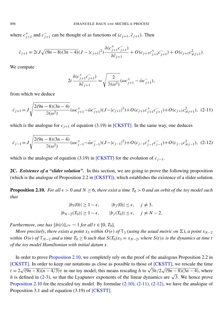where  $c_{i}^{+}$  $j_{j+1}$  and  $c_{j}^ \bar{j}_{j+1}$  can be thought of as functions of  $(c_{j+1}, \bar{c}_{j+1})$ . Then

$$
\dot{c}_{j+1} = 2i J \sqrt{(9n-8)(3n-4)}(J - |c_{j+1}|^2) \frac{\partial (c_{j+1}^+ c_{j+1}^-)}{\partial \bar{c}_{j+1}} + O(c_{j+1}c_{j+1}^+ c_{j+1}^-) + O(c_{j+1}c_{j+1}^2).
$$

We compute

<span id="page-16-2"></span><span id="page-16-1"></span>
$$
2i \frac{\partial (c_{j+1}^+ c_{j+1}^-)}{\partial \bar{c}_{j+1}} = \sqrt{\frac{2}{\Im(\omega^2)}} (\omega c_{j+1}^+ - \bar{\omega} c_{j+1}^-),
$$

from which we deduce

$$
\dot{c}_{j+1} = J \sqrt{\frac{2(9n-8)(3n-4)}{3(\omega^2)}} (\omega c_{j+1}^+ - \bar{\omega} c_{j+1}^-)(J - |c_{j+1}|^2) + O(c_{j+1}c_{j+1}^+ c_{j+1}^-) + O(c_{j+1}c_{j+1}^2),
$$
 (2-11)

which is the analogue for  $c_{j+1}$  of equation (3.19) in [\[CKSTT\].](#page-39-1) In the same way, one deduces

$$
\dot{c}_{j-1} = J \sqrt{\frac{2(9n-8)(3n-4)}{3(\omega^2)} (\omega c_{j-1}^+ - \bar{\omega} c_{j-1}^-)(J - |c_{j-1}|^2) + O(c_{j-1}c_{j-1}^+ c_{j-1}^-) + O(c_{j-1}c_{j+1}^2)},
$$
 (2-12)

which is the analogue of equation (3.19) in [\[CKSTT\]](#page-39-1) for the evolution of  $c_{j-1}$ .

2C. *Existence of a "slider solution".* In this section, we are going to prove the following proposition (which is the analogue of Proposition 2.2 in [\[CKSTT\]\)](#page-39-1), which establishes the existence of a slider solution.

<span id="page-16-0"></span>**Proposition 2.10.** *For all*  $\epsilon > 0$  *and*  $N \ge 6$ *, there exist a time*  $T_0 > 0$  *and an orbit of the toy model such that*

$$
|b_3(0)| \ge 1 - \epsilon, \qquad |b_j(0)| \le \epsilon, \quad j \ne 3,
$$
  

$$
|b_{N-2}(T_0)| \ge 1 - \epsilon, \qquad |b_j(T_0)| \le \epsilon, \quad j \ne N - 2.
$$

*Furthermore, one has*  $||b(t)||_{\ell^{\infty}} \sim 1$  *for all t* ∈ [0, *T*<sub>0</sub>]*.* 

*More precisely, there exists a point*  $x_3$  *within*  $O(\epsilon)$  *of*  $\mathbb{T}_3$  (*using the usual metric on*  $\Sigma$ *), a point*  $x_{N-2}$ within  $O(\epsilon)$  of  $\mathbb{T}_{N-2}$  and a time  $T_0 \ge 0$  such that  $S(T_0)x_3 = x_{N-2}$ , where  $S(t)x$  is the dynamics at time t *of the toy model Hamiltonian with initial datum x.*

In order to prove [Proposition 2.10,](#page-16-0) we completely rely on the proof of the analogous Proposition 2.2 in [\[CKSTT\].](#page-39-1) In order to keep our notations as close as possible to those of [\[CKSTT\],](#page-39-1) we rescale the time  $t = 2$  $\sqrt{(9n-8)(n-4/3)}\tau$  in our toy model; this means rescaling *h* to  $\sqrt{3}h/2$ ٍ.<br>⁄  $\sqrt{(9n-8)(3n-4)}$ , where  $h = 2\sqrt{(9n-6)(n-4)}$ ; in our toy model; this means rescaling  $h$  to  $\sqrt{3}n/2\sqrt{(9n-6)(3n-4)}$ , where  $h$  is defined in [\(2-3\),](#page-11-0) so that the Lyapunov exponents of the linear dynamics are  $\sqrt{3}$ . We hence prove [Proposition 2.10](#page-16-0) for the rescaled toy model. By formulae  $(2-10)$ ,  $(2-11)$ ,  $(2-12)$ , we have the analogue of Proposition 3.1 and of equation (3.19) of [\[CKSTT\].](#page-39-1)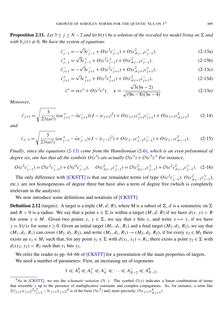**Proposition 2.11.** *Let*  $3 \le j \le N - 2$  *and let*  $b(\tau)$  *be a solution of the rescaled toy model living on*  $\Sigma$  *and with b*<sup>*j*</sup>( $\tau$ )  $\neq$  0*. We have the system of equations* 

<span id="page-17-0"></span>
$$
\dot{c}_{j-1}^- = -\sqrt{3}c_{j-1}^- + O(c^2 c_{j-1}^-) + O(c_{\neq j-1}^2 c_{j-1}^+),\tag{2-13a}
$$

$$
\dot{c}_{j-1}^{+} = \sqrt{3}c_{j-1}^{+} + O(c^{2}c_{j-1}^{+}) + O(c_{\neq j-1}^{2}c_{j-1}^{-}),
$$
\n(2-13b)

$$
\dot{c}_{j+1}^- = -\sqrt{3}c_{j+1}^- + O(c^2c_{j+1}^-) + O(c_{\neq j+1}^2c_{j+1}^+),
$$
\n(2-13c)

$$
\dot{c}_{j+1}^{+} = \sqrt{3}c_{j+1}^{+} + O(c^{2}c_{j+1}^{+}) + O(c_{\neq j+1}^{2}c_{j+1}^{-}),
$$
\n(2-13d)

<span id="page-17-6"></span><span id="page-17-3"></span><span id="page-17-2"></span>
$$
\dot{c}^* = i\kappa c^* + O(c^2 c^*), \quad \kappa = \frac{\sqrt{3}(3n-2)}{\sqrt{(9n-8)(3n-4)}}.
$$
\n(2-13e)

*Moreover*,

<span id="page-17-4"></span>
$$
\dot{c}_{j+1} = \sqrt{\frac{3}{2\Im(\omega^2)}} (\omega c_{j+1}^+ - \bar{\omega} c_{j+1}^-)(J - |c_{j+1}|^2) + O(c_{j+1}c_{j+1}^+ c_{j+1}^-) + O(c_{j+1}c_{j+1}^2)
$$
(2-14)

<span id="page-17-5"></span>*and*

$$
\dot{c}_{j-1} = \sqrt{\frac{3}{2\Im(\omega^2)}} (\omega c_{j-1}^+ - \bar{\omega} c_{j-1}^-)(J - |c_{j-1}|^2) + O(c_{j-1}c_{j-1}^+ c_{j-1}^-) + O(c_{j-1}c_{j-1}^2).
$$
 (2-15)

*Finally*, *since the equations* [\(2-13\)](#page-17-0) *come from the Hamiltonian* [\(2-6\),](#page-13-0) *which is an even polynomial of degree six, one has that all the symbols*  $O(c^3)$  are actually  $O(c^3) + O(c^5)$ .<sup>[4](#page-17-1)</sup> For instance,

$$
O(c^2c_{j-1}^-) = O(c^2c_{j-1}^-) + O(c^4c_{j-1}^-), \quad O(c_{\neq j-1}^2c_{j-1}^+) = O(c_{\neq j-1}^2c_{j-1}^+) + O(c^2c_{\neq j-1}^2c_{j-1}^+).
$$
 (2-16)

The only difference with [\[CKSTT\]](#page-39-1) is that our remainder terms (of type  $O(c^2c_i^-)$  $\bar{C}_{j-1}$ ),  $O(c_{\neq j-1}^2 c_{j-1}^+$ *j*−1 ), etc.) are not homogeneous of degree three but have also a term of degree five (which is completely irrelevant in the analysis).

We now introduce some definitions and notations of [\[CKSTT\].](#page-39-1)

**Definition 2.12** (targets). A target is a triple  $(M, d, R)$ , where M is a subset of  $\Sigma$ , *d* is a semimetric on  $\Sigma$ and  $R > 0$  is a radius. We say that a point  $x \in \Sigma$  is within a target  $(M, d, R)$  if we have  $d(x, y) < R$ for some  $y \in M$ . Given two points  $x, y \in \Sigma$ , we say that x hits y, and write  $x \mapsto y$ , if we have  $y = S(t)x$  for some  $t \ge 0$ . Given an initial target  $(M_1, d_1, R_1)$  and a final target  $(M_2, d_2, R_2)$ , we say that  $(M_1, d_1, R_1)$  can cover  $(M_2, d_2, R_2)$ , and write  $(M_1, d_1, R_1) \rightarrow (M_2, d_2, R_2)$ , if for every  $x_2 \in M_2$  there exists an  $x_1 \in M_1$  such that, for any point  $y_1 \in \Sigma$  with  $d(x_1, y_1) < R_1$ , there exists a point  $y_2 \in \Sigma$  with  $d_2(x_2, y_2) < R_2$  such that  $y_1$  hits  $y_2$ .

We refer the reader to pp. 64–66 of [\[CKSTT\]](#page-39-1) for a presentation of the main properties of targets.

We need a number of parameters: First, an increasing set of exponents

$$
1 \ll A_3^0 \ll A_3^+ \ll A_4^- \ll \cdots \ll A_{N-2}^- \ll A_{N-2}^0,
$$

<span id="page-17-1"></span><sup>&</sup>lt;sup>4</sup>As in [\[CKSTT\],](#page-39-1) we use the *schematic notation*  $\mathcal{O}(\cdot)$ . The symbol  $\mathcal{O}(y)$  indicates a linear combination of terms that resemble *y* up to the presence of multiplicative constants and complex conjugations. So, for instance, a term like  $2i\bar{c}_{j+1}|c_{j+2}|^2c_{j+3}^2 - 3c_{j+1}|c_{j+2}|^4$  is of the form  $\mathcal{O}(c^5)$  and, more precisely,  $\mathcal{O}(c_{j+1}c_{\neq j+1}^4)$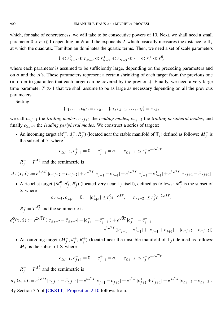which, for sake of concreteness, we will take to be consecutive powers of 10. Next, we shall need a small parameter  $0 < \sigma \ll 1$  depending on *N* and the exponents *A* which basically measures the distance to  $\mathbb{T}_i$ at which the quadratic Hamiltonian dominates the quartic terms. Then, we need a set of scale parameters

$$
1 \ll r_{N-2}^0 \ll r_{N-2}^- \ll r_{N-2}^+ \ll r_{N-3}^- \ll \cdots \ll r_3^+ \ll r_3^0,
$$

where each parameter is assumed to be sufficiently large, depending on the preceding parameters and on  $\sigma$  and the *A*'s. These parameters represent a certain shrinking of each target from the previous one (in order to guarantee that each target can be covered by the previous). Finally, we need a very large time parameter  $T \gg 1$  that we shall assume to be as large as necessary depending on all the previous parameters.

Setting

$$
\{c_1, \ldots, c_h\} := c_{\leq h}, \quad \{c_h, c_{h+1}, \ldots, c_N\} = c_{\geq h},
$$

we call *c*<sup>≤</sup> *<sup>j</sup>*−<sup>1</sup> the *trailing modes*, *c*<sup>≥</sup> *<sup>j</sup>*+<sup>1</sup> the *leading modes*, *c*<sup>≤</sup> *<sup>j</sup>*−<sup>2</sup> the *trailing peripheral modes*, and finally  $c_{\geq j+2}$  the *leading peripheral modes*. We construct a series of targets:

• An incoming target  $(M_i^-)$  $\overline{j}$ ,  $d_{\overline{j}}$  $\frac{1}{j}$ ,  $R_j^$ *j*) (located near the stable manifold of  $\mathbb{T}_j$ ) defined as follows:  $M_j^ \frac{1}{j}$  is the subset of  $\Sigma$  where

$$
c_{\leq j-2}, c_{j-1}^+ = 0, \quad c_{j-1}^- = \sigma, \quad |c_{\geq j+1}| \leq r_j^- e^{-2\sqrt{3}T},
$$

 $R_j^- = T^{A_j^-}$  and the semimetric is

$$
d_j^-(x,\tilde{x}):=e^{2\sqrt{3}T}|c_{\leq j-2}-\tilde{c}_{\leq j-2}|+e^{\sqrt{3}T}|c_{j-1}^--\tilde{c}_{j-1}^-|+e^{4\sqrt{3}T}|c_{j-1}^++\tilde{c}_{j-1}^+|+e^{3\sqrt{3}T}|c_{\geq j+1}-\tilde{c}_{\geq j+1}|
$$

• A ricochet target  $(M_j^0, d_j^0, R_j^0)$  (located very near  $\mathbb{T}_j$  itself), defined as follows:  $M_j^0$  is the subset of  $\Sigma$  where √ √

$$
c_{\leq j-1}, c_{j+1}^- = 0, \quad |c_{j+1}^+| \leq r_j^0 e^{-\sqrt{3}T}, \quad |c_{\geq j+2}| \leq r_j^0 e^{-2\sqrt{3}T},
$$

 $R_j^- = T^{A_j^0}$  and the semimetric is

$$
d_j^0(x, \tilde{x}) := e^{2\sqrt{3}T} (|c_{\leq j-2} - \tilde{c}_{\leq j-2}| + |c_{j+1}^+ + \tilde{c}_{j+1}^+|) + e^{\sqrt{3}T} |c_{j-1}^- - \tilde{c}_{j-1}^-|
$$
  
+  $e^{3\sqrt{3}T} (|c_{j-1}^+ + \tilde{c}_{j-1}^+| + |c_{j+1}^- + \tilde{c}_{j+1}^-| + |c_{\geq j+2}^- - \tilde{c}_{\geq j+2}|)$ 

• An outgoing target  $(M_i^+)$  $j^+$ ,  $d_j^+$ <sup>+</sup>,  $R_j^+$ <sup>*j*</sup>)</sub> (located near the unstable manifold of  $\mathbb{T}_j$ ) defined as follows:  $M_i^+$  $j^+$  is the subset of  $\Sigma$  where

$$
c_{\leq j-1}, c_{j+1}^- = 0, c_{j+1}^+ = \sigma, |c_{\geq j+2}| \leq r_j^+ e^{-2\sqrt{3}T},
$$

 $R_j^-$  =  $T^{A_j^+}$  and the semimetric is

$$
d_j^+(x,\tilde{x}) := e^{2\sqrt{3}T}|c_{\leq j-1} - \tilde{c}_{\leq j-1}| + e^{4\sqrt{3}T}|c_{j+1} - \tilde{c}_{j+1}^-| + e^{\sqrt{3}T}|c_{j+1}^+ + \tilde{c}_{j+1}^+| + e^{3\sqrt{3}T}|c_{\geq j+2} - \tilde{c}_{\geq j+2}|.
$$

<span id="page-18-0"></span>By Section 3.5 of [\[CKSTT\],](#page-39-1) [Proposition 2.10](#page-16-0) follows from: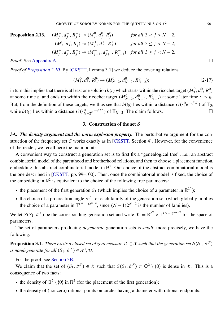#### Proposition 2.13. −  $\overline{j}$ ,  $d\overline{j}$  $\frac{1}{j}$ ,  $R_j^$  $f_j^ \rightarrow$   $(M_j^0, d_j^0, R_j^0)$  *for all*  $3 < j \le N - 2$ ,  $(M_j^0, d_j^0, R_j^0) \rightarrow M_j^+$  $j^+$ ,  $d_j^+$ <sup>+</sup>,  $R_j^+$  $f_j^+$ ) *for all*  $3 \le j < N-2$ ,  $(M_i^+$  $j^+$ ,  $d_j^+$ <sup>+</sup>,  $R_j^+$ <sup>+</sup><sub>j</sub></sub> →  $(M^-_{j^-}$ <sup>−</sup><sub>*j*+1</sub>, *d*<sup>−</sup><sub>*j*−</sub>  $\frac{1}{j+1}, R_j^ \frac{1}{j+1}$ ) *for all* 3 ≤ *j* < *N* − 2.

*Proof.* See [Appendix A.](#page-31-0)

*Proof of [Proposition 2.10.](#page-16-0)* By [\[CKSTT,](#page-39-1) Lemma 3.1] we deduce the covering relations

$$
(M_3^0, d_3^0, R_3^0) \to (M_{N-2}^0, d_{N-2}^0, R_{N-2}^0);
$$
\n(2-17)

in turn this implies that there is at least one solution  $b(t)$  which starts within the ricochet target  $(M_3^0, d_3^0, R_3^0)$ at some time  $t_0$  and ends up within the ricochet target  $(M_{N-2}^0, d_{N-2}^0, R_{N-2}^0)$  at some later time  $t_1 > t_0$ . But, from the definition of these targets, we thus see that  $b(t_0)$  lies within a distance  $O(r_3^0e^{-\sqrt{3}T})$  of  $\mathbb{T}_3$ , while *b*(*t*<sub>1</sub>) lies within a distance *O*( $r_{N-2}^0e^{-\sqrt{3}T}$ ) of  $\mathbb{T}_{N-2}$ . The claim follows. □

#### 3. Construction of the set  $S$

<span id="page-19-1"></span><span id="page-19-0"></span>3A. *The density argument and the norm explosion property.* The perturbative argument for the con-struction of the frequency set S works exactly as in [\[CKSTT,](#page-39-1) Section 4]. However, for the convenience of the reader, we recall here the main points.

A convenient way to construct a generation set is to first fix a "genealogical tree", i.e., an abstract combinatorial model of the parenthood and brotherhood relations, and then to choose a placement function, embedding this abstract combinatorial model in  $\mathbb{R}^2$ . Our choice of the abstract combinatorial model is the one described in [\[CKSTT,](#page-39-1) pp. 99–100]. Then, once the combinatorial model is fixed, the choice of the embedding in  $\mathbb{R}^2$  is equivalent to the choice of the following free parameters:

- the placement of the first generation  $S_1$  (which implies the choice of a parameter in  $\mathbb{R}^{2^N}$ );
- the choice of a procreation angle  $\vartheta^{\mathcal{F}}$  for each family of the generation set (which globally implies the choice of a parameter in  $\mathbb{T}^{(N-1)2^{N-2}}$ , since  $(N-1)2^{N-2}$  is the number of families).

We let  $S(S_1, \vartheta^{\mathcal{F}})$  be the corresponding generation set and write  $\mathcal{X} := \mathbb{R}^{2^N} \times \mathbb{T}^{(N-1)2^{N-2}}$  for the space of parameters.

The set of parameters producing *degenerate* generation sets is *small*; more precisely, we have the following:

<span id="page-19-2"></span>**Proposition 3.1.** *There exists a closed set of zero measure*  $D \subset \mathcal{X}$  *such that the generation set*  $S(S_1, \vartheta^{\mathcal{F}})$ *is nondegenerate for all*  $(S_1, \vartheta^{\mathcal{F}}) \in \mathcal{X} \setminus \mathcal{D}$ .

For the proof, see [Section 3B.](#page-22-0)

We claim that the set of  $(S_1, \vartheta^{\mathcal{F}}) \in \mathcal{X}$  such that  $S(S_1, \vartheta^{\mathcal{F}}) \subset \mathbb{Q}^2 \setminus \{0\}$  is dense in X. This is a consequence of two facts:

- the density of  $\mathbb{Q}^2 \setminus \{0\}$  in  $\mathbb{R}^2$  (for the placement of the first generation);
- the density of (nonzero) rational points on circles having a diameter with rational endpoints.

<sup>2</sup> 901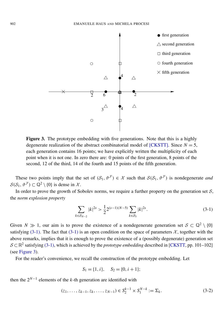<span id="page-20-1"></span>

Figure 3. The prototype embedding with five generations. Note that this is a highly degenerate realization of the abstract combinatorial model of [\[CKSTT\].](#page-39-1) Since  $N = 5$ , each generation contains 16 points; we have explicitly written the multiplicity of each point when it is not one. In zero there are: 0 points of the first generation, 8 points of the second, 12 of the third, 14 of the fourth and 15 points of the fifth generation.

These two points imply that the set of  $(S_1, \vartheta^{\mathcal{F}}) \in \mathcal{X}$  such that  $\mathcal{S}(S_1, \vartheta^{\mathcal{F}})$  is nondegenerate *and*  $S(S_1, \vartheta^{\mathcal{F}}) \subset \mathbb{Q}^2 \setminus \{0\}$  is dense in X.

In order to prove the growth of Sobolev norms, we require a further property on the generation set  $S$ , the *norm explosion property*

<span id="page-20-0"></span>
$$
\sum_{k \in S_{N-2}} |k|^{2s} > \frac{1}{2} 2^{(s-1)(N-5)} \sum_{k \in S_3} |k|^{2s}.\tag{3-1}
$$

Given *N*  $\gg$  1, our aim is to prove the existence of a nondegenerate generation set  $S \subset \mathbb{Q}^2 \setminus \{0\}$ satisfying [\(3-1\).](#page-20-0) The fact that [\(3-1\)](#page-20-0) is an open condition on the space of parameters  $\chi$ , together with the above remarks, implies that it is enough to prove the existence of a (possibly degenerate) generation set S  $\subset \mathbb{R}^2$  satisfying [\(3-1\),](#page-20-0) which is achieved by the *prototype embedding* described in [\[CKSTT,](#page-39-1) pp. 101–102] (see [Figure 3\)](#page-20-1).

For the reader's convenience, we recall the construction of the prototype embedding. Let

$$
S_1 = \{1, i\}, \quad S_2 = \{0, i + 1\};
$$

then the  $2^{N-1}$  elements of the *k*-th generation are identified with

$$
(z_1, \ldots, z_{k-1}, z_k, \ldots, z_{N-1}) \in S_2^{k-1} \times S_1^{N-k} := \Sigma_k.
$$
 (3-2)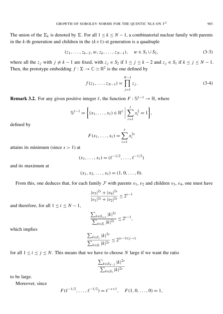The union of the  $\Sigma_k$  is denoted by  $\Sigma$ . For all  $1 \leq k \leq N-1$ , a combinatorial nuclear family with parents in the *k*-th generation and children in the  $(k+1)$ -st generation is a quadruple

$$
(z_1, \ldots, z_{k-2}, w, z_k, \ldots, z_{N-1}), \quad w \in S_1 \cup S_2,
$$
\n
$$
(3-3)
$$

where all the  $z_j$  with  $j \neq k - 1$  are fixed, with  $z_j \in S_2$  if  $1 \leq j \leq k - 2$  and  $z_j \in S_1$  if  $k \leq j \leq N - 1$ . Then, the prototype embedding  $f : \Sigma \to \mathbb{C} \simeq \mathbb{R}^2$  is the one defined by

$$
f(z_1, \ldots, z_{N-1}) = \prod_{j=1}^{N-1} z_j.
$$
 (3-4)

<span id="page-21-0"></span>**Remark 3.2.** For any given positive integer  $\ell$ , the function  $F : \mathbb{S}^{\ell-1} \to \mathbb{R}$ , where

$$
\mathbb{S}^{\ell-1} = \left\{ (x_1, \ldots, x_\ell) \in \mathbb{R}^\ell \; \middle| \; \sum_{i=1}^\ell x_i^2 = 1 \right\},\
$$

defined by

$$
F(x_1,\ldots,x_\ell)=\sum_{i=1}^\ell x_i^{2s}
$$

attains its minimum (since  $s > 1$ ) at

$$
(x_1, \ldots, x_\ell) = (\ell^{-1/2}, \ldots, \ell^{-1/2})
$$

and its maximum at

$$
(x_1, x_2, \ldots, x_\ell) = (1, 0, \ldots, 0).
$$

From this, one deduces that, for each family F with parents  $v_1$ ,  $v_2$  and children  $v_3$ ,  $v_4$ , one must have

$$
\frac{|v_3|^{2s} + |v_4|^{2s}}{|v_1|^{2s} + |v_2|^{2s}} \le 2^{s-1}
$$

and therefore, for all  $1 \le i \le N - 1$ ,

$$
\frac{\sum_{k \in S_{i+1}} |k|^{2s}}{\sum_{k \in S_i} |k|^{2s}} \le 2^{s-1},
$$

which implies

$$
\frac{\sum_{k \in S_j} |k|^{2s}}{\sum_{k \in S_i} |k|^{2s}} \le 2^{(s-1)(j-i)}
$$

for all  $1 \le i \le j \le N$ . This means that we have to choose N large if we want the ratio

$$
\frac{\sum_{k \in S_{N-2}} |k|^{2s}}{\sum_{k \in S_3} |k|^{2s}}
$$

to be large.

Moreover, since

$$
F(\ell^{-1/2}, \ldots, \ell^{-1/2}) = \ell^{-s+1}, \quad F(1, 0, \ldots, 0) = 1,
$$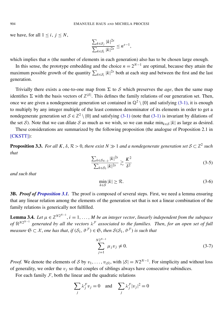we have, for all  $1 \leq i, j \leq N$ ,

$$
\frac{\sum_{k\in S_j} |k|^{2s}}{\sum_{k\in S_i} |k|^{2s}} \leq n^{s-1},
$$

which implies that *n* (the number of elements in each generation) also has to be chosen large enough.

In this sense, the prototype embedding and the choice  $n = 2^{N-1}$  are optimal, because they attain the maximum possible growth of the quantity  $\sum_{k \in S_i} |k|^{2s}$  both at each step and between the first and the last generation.

Trivially there exists a one-to-one map from  $\Sigma$  to S which preserves the *age*, then the same map identifies  $\Sigma$  with the basis vectors of  $\mathbb{Z}^{|S|}$ . This defines the family relations of our generation set. Then, once we are given a nondegenerate generation set contained in  $\mathbb{Q}^2 \setminus \{0\}$  and satisfying [\(3-1\),](#page-20-0) it is enough to multiply by any integer multiple of the least common denominator of its elements in order to get a nondegenerate generation set  $S \in \mathbb{Z}^2 \setminus \{0\}$  and satisfying [\(3-1\)](#page-20-0) (note that (3-1) is invariant by dilations of the set S). Note that we can dilate S as much as we wish, so we can make  $\min_{k \in S} |k|$  as large as desired.

These considerations are summarized by the following proposition (the analogue of Proposition 2.1 in [\[CKSTT\]\)](#page-39-1):

<span id="page-22-3"></span>**Proposition 3.3.** For all K,  $\delta$ ,  $\mathcal{R} > 0$ , there exist  $N \gg 1$  and a nondegenerate generation set  $S \subset \mathbb{Z}^2$  such *that*

$$
\frac{\sum_{k \in S_{N-2}} |k|^{2s}}{\sum_{k \in S_3} |k|^{2s}} \gtrsim \frac{K^2}{\delta^2}
$$
\n(3-5)

*and such that*

$$
\min_{k \in S} |k| \ge \mathcal{R}.\tag{3-6}
$$

<span id="page-22-0"></span>3B. *Proof of [Proposition 3.1.](#page-19-2)* The proof is composed of several steps. First, we need a lemma ensuring that any linear relation among the elements of the generation set that is not a linear combination of the family relations is generically not fulfilled.

<span id="page-22-2"></span>**Lemma 3.4.** Let  $\mu \in \mathbb{Z}^{N2^{N-1}}$ ,  $i = 1, ..., M$  be an integer vector, linearly independent from the subspace *of*  $\mathbb{R}^{N2^{N-1}}$  generated by all the vectors  $\lambda^{\mathcal{F}}$  associated to the families. Then, for an open set of full *measure*  $\mathfrak{S} \subset \mathcal{X}$ , *one has that*, *if*  $(S_1, \vartheta^{\mathcal{F}}) \in \mathfrak{S}$ , *then*  $S(S_1, \vartheta^{\mathcal{F}})$  *is such that* 

<span id="page-22-1"></span>
$$
\sum_{j=1}^{N2^{N-1}} \mu_j v_j \neq 0.
$$
 (3-7)

*Proof.* We denote the elements of S by  $v_1, \ldots, v_{|\mathcal{S}|}$ , with  $|\mathcal{S}| = N2^{N-1}$ . For simplicity and without loss of generality, we order the  $v_j$  so that couples of siblings always have consecutive subindices.

For each family  $F$ , both the linear and the quadratic relations

$$
\sum_{j} \lambda_j^{\mathcal{F}} v_j = 0 \quad \text{and} \quad \sum_{j} \lambda_j^{\mathcal{F}} |v_j|^2 = 0
$$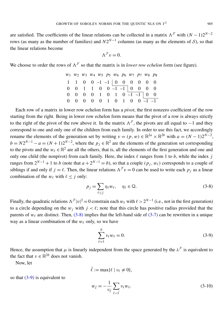are satisfied. The coefficients of the linear relations can be collected in a matrix  $\Lambda^{\mathcal{F}}$  with  $(N-1)2^{N-2}$ rows (as many as the number of families) and  $N2^{N-1}$  columns (as many as the elements of S), so that the linear relations become

$$
\Lambda^{\mathcal{F}} v = 0.
$$

We choose to order the rows of  $\Lambda^{\mathcal{F}}$  so that the matrix is in *lower row echelon* form (see figure).

| $w_1$ $w_2$ $w_3$ $w_4$ $w_5$ $p_5$ $w_6$ $p_6$ $w_7$ $p_7$ $w_8$ $p_8$ |  |  |  |  |  |
|-------------------------------------------------------------------------|--|--|--|--|--|
| 1 1 0 0 -1 -1 0 0 0 0 0 0 0                                             |  |  |  |  |  |
| $0 \t 0 \t 1 \t 1 \t 0 \t 0 \t 1 \t -1 \t 0 \t 0 \t 0 \t 0$             |  |  |  |  |  |
| $0 \t 0 \t 0 \t 0 \t 1 \t 0 \t 1 \t 0 \t 1 \t 1 \t 0 \t 0$              |  |  |  |  |  |
| $0 \t 0 \t 0 \t 0 \t 0 \t 1 \t 0 \t 1 \t 0 \t 0 \t -1 \t -1$            |  |  |  |  |  |

Each row of a matrix in lower row echelon form has a *pivot*, the first nonzero coefficient of the row starting from the right. Being in lower row echelon form means that the pivot of a row is always strictly to the right of the pivot of the row above it. In the matrix  $\Lambda^{\mathcal{F}}$ , the pivots are all equal to −1 and they correspond to one and only one of the children from each family. In order to use this fact, we accordingly rename the elements of the generation set by writing  $v = (p, w) \in \mathbb{R}^{2a} \times \mathbb{R}^{2b}$  with  $a = (N - 1)2^{N-2}$ ,  $b = N2^{N-1} - a = (N + 1)2^{N-2}$ , where the  $p_j \in \mathbb{R}^2$  are the elements of the generation set corresponding to the pivots and the  $w_\ell \in \mathbb{R}^2$  are all the others, that is, all the elements of the first generation and one and only one child (the nonpivot) from each family. Here, the index  $\ell$  ranges from 1 to  $b$ , while the index  $j$ ranges from  $2^{N-1} + 1$  to *b* (note that  $a + 2^{N-1} = b$ ), so that a couple  $(p_j, w_\ell)$  corresponds to a couple of siblings if and only if  $j = \ell$ . Then, the linear relations  $\Lambda^F v = 0$  can be used to write each  $p_j$  as a linear combination of the  $w_{\ell}$  with  $\ell \leq j$  only:

<span id="page-23-0"></span>
$$
p_j = \sum_{\ell \le j} \eta_\ell w_\ell, \quad \eta_\ell \in \mathbb{Q}.\tag{3-8}
$$

Finally, the quadratic relations  $\Lambda^F |v|^2 = 0$  constrain each  $w_\ell$  with  $\ell > 2^{N-1}$  (i.e., not in the first generation) to a circle depending on the  $w_j$  with  $j < \ell$ ; note that this circle has positive radius provided that the parents of  $w_{\ell}$  are distinct. Then, [\(3-8\)](#page-23-0) implies that the left-hand side of [\(3-7\)](#page-22-1) can be rewritten in a unique way as a linear combination of the  $w_\ell$  only, so we have

<span id="page-23-1"></span>
$$
\sum_{\ell=1}^{b} v_{\ell} w_{\ell} = 0.
$$
 (3-9)

Hence, the assumption that  $\mu$  is linearly independent from the space generated by the  $\lambda^{\mathcal{F}}$  is equivalent to the fact that  $v \in \mathbb{R}^{2b}$  does not vanish.

Now, let

<span id="page-23-2"></span>
$$
\bar{\ell}:=\max\{\ell\mid \nu_\ell\neq 0\},
$$

so that [\(3-9\)](#page-23-1) is equivalent to

$$
w_{\bar{\ell}} = -\frac{1}{\nu_{\bar{\ell}}} \sum_{\ell < \bar{\ell}} \nu_{\ell} w_{\ell}.
$$
\n(3-10)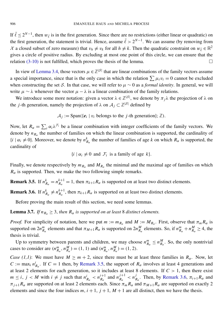If  $\bar{\ell} \leq 2^{N-1}$ , then  $w_{\bar{\ell}}$  is in the first generation. Since there are no restrictions (either linear or quadratic) on the first generation, the statement is trivial. Hence, assume  $\bar{\ell} > 2^{N-1}$ . We can assume (by removing from X a closed subset of zero measure) that  $v_h \neq v_k$  for all  $h \neq k$ . Then the quadratic constraint on  $w_{\bar{\ell}} \in \mathbb{R}^2$ gives a circle of positive radius. By excluding at most one point of this circle, we can ensure that the relation  $(3-10)$  is not fulfilled, which proves the thesis of the lemma.

In view of [Lemma 3.4,](#page-22-2) those vectors  $\mu \in \mathbb{Z}^{|\mathcal{S}|}$  that are linear combinations of the family vectors assume a special importance, since that is the only case in which the relation  $\sum \mu_i v_i = 0$  cannot be excluded when constructing the set S. In that case, we will refer to  $\mu \sim 0$  as a *formal identity*. In general, we will write  $\mu \sim \lambda$  whenever the vector  $\mu - \lambda$  is a linear combination of the family relations.

We introduce some more notation: given a vector  $\lambda \in \mathbb{Z}^{|\mathcal{S}|}$ , we denote by  $\pi_j \lambda$  the projection of  $\lambda$  on the *j*-th generation, namely the projection of  $\lambda$  on  $A_j \subset \mathbb{Z}^{|S|}$  defined by

 $A_j := \text{Span}(\{e_i \mid v_i \text{ belongs to the } j\text{-th generation}\}; \mathbb{Z}).$ 

Now, let  $R_{\alpha} = \sum_i \alpha_i \lambda^{\mathcal{F}_i}$  be a linear combination with integer coefficients of the family vectors. We denote by  $n_{R_{\alpha}}$  the number of families on which the linear combination is supported, the cardinality of  $\{i \mid \alpha_i \neq 0\}$ . Moreover, we denote by  $n_{R_\alpha}^k$  the number of families of age *k* on which  $R_\alpha$  is supported, the cardinality of

 $\{i \mid \alpha_i \neq 0 \text{ and } \mathcal{F}_i \text{ is a family of age } k\}.$ 

Finally, we denote respectively by  $m_{R_{\alpha}}$  and  $M_{R_{\alpha}}$  the minimal and the maximal age of families on which  $R_{\alpha}$  is supported. Then, we make the two following simple remarks.

<span id="page-24-0"></span>**Remark 3.5.** If  $n_{R_{\alpha}}^{k} = n_{R_{\alpha}}^{k+1}$  $R_{R_{\alpha}}^{k+1} = 1$ , then  $\pi_{k+1}R_{\alpha}$  is supported on at least two distinct elements.

<span id="page-24-1"></span>**Remark 3.6.** If  $n_{R_\alpha}^k \neq n_{R_\alpha}^{k+1}$  $R_{\alpha}^{k+1}$ , then  $\pi_{k+1}R_{\alpha}$  is supported on at least two distinct elements.

Before proving the main result of this section, we need some lemmas.

<span id="page-24-2"></span>**Lemma 3.7.** *If*  $n_{R_{\alpha}} \geq 3$ , *then*  $R_{\alpha}$  *is supported on at least* 8 *distinct elements.* 

*Proof.* For simplicity of notation, here we put  $m := m_{R_\alpha}$  and  $M := M_{R_\alpha}$ . First, observe that  $\pi_m R_\alpha$  is supported on  $2n_{R_\alpha}^m$  elements and that  $\pi_{M+1}R_\alpha$  is supported on  $2n_{R_\alpha}^M$  elements. So, if  $n_{R_\alpha}^m + n_{R_\alpha}^M \ge 4$ , the thesis is trivial.

Up to symmetry between parents and children, we may choose  $n_{R_\alpha}^m \le n_{R_\alpha}^M$ . So, the only nontrivial cases to consider are  $(n_{R_\alpha}^m, n_{R_\alpha}^M) = (1, 1)$  and  $(n_{R_\alpha}^m, n_{R_\alpha}^M) = (1, 2)$ .

*Case (1,1)*: We must have  $M \ge m + 2$ , since there must be at least three families in  $R_\alpha$ . Now, let  $C := \max_i n_{R_\alpha}^i$ . If  $C = 1$  then, by [Remark 3.5,](#page-24-0) the support of  $R_\alpha$  involves at least 4 generations and at least 2 elements for each generation, so it includes at least 8 elements. If  $C > 1$ , then there exist  $m \leq i, j < M$  with  $i \neq j$  such that  $n_{R_\alpha}^i < n_{R_\alpha}^{i+1}$  $\frac{i+1}{R_{\alpha}}$  and  $n_{R_{\alpha}}^{j+1}$  $\frac{j+1}{R_{\alpha}} < n_f^j$  $\frac{M}{R_{\alpha}}$ . Then, by [Remark 3.6,](#page-24-1)  $\pi_{i+1}R_{\alpha}$  and  $\pi_{j+1}R_{\alpha}$  are supported on at least 2 elements each. Since  $\pi_m R_{\alpha}$  and  $\pi_{M+1}R_{\alpha}$  are supported on exactly 2 elements and since the four indices  $m$ ,  $i + 1$ ,  $j + 1$ ,  $M + 1$  are all distinct, then we have the thesis.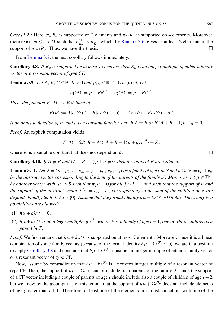*Case (1,2)*: Here,  $\pi_m R_\alpha$  is supported on 2 elements and  $\pi_M R_\alpha$  is supported on 4 elements. Moreover, there exists  $m \le i < M$  such that  $n_R^{i+1}$  $n_{R_{\alpha}}^{i+1} < n_{R_{\alpha}}^{i}$ , which, by [Remark 3.6,](#page-24-1) gives us at least 2 elements in the support of  $\pi_{i+1}R_{\alpha}$ . Thus, we have the thesis.

From [Lemma 3.7,](#page-24-2) the next corollary follows immediately.

<span id="page-25-0"></span>**Corollary 3.8.** *If*  $R_\alpha$  *is supported on at most* 7 *elements, then*  $R_\alpha$  *is an integer multiple of either a family vector or a resonant vector of type CF.*

**Lemma 3.9.** *Let A, B, C*  $\in \mathbb{R}$ *, R* > 0 *and p, q*  $\in \mathbb{R}^2 \simeq \mathbb{C}$  *be fixed. Let* 

 $c_1(\vartheta) := p + Re^{i\vartheta}, \quad c_2(\vartheta) := p - Re^{i\vartheta}.$ 

*Then, the function*  $F : \mathbb{S}^1 \to \mathbb{R}$  *defined by* 

$$
F(\vartheta) := A|c_1(\vartheta)|^2 + B|c_2(\vartheta)|^2 + C - |Ac_1(\vartheta) + Bc_2(\vartheta) + q|^2
$$

*is an analytic function of*  $\vartheta$ , *and it is a constant function only if*  $A = B$  *or if*  $(A + B - 1)p + q = 0$ .

*Proof.* An explicit computation yields

$$
F(\vartheta) = 2R(B - A)\langle (A + B - 1)p + q, e^{i\vartheta} \rangle + K,
$$

where *K* is a suitable constant that does not depend on  $\vartheta$ .

<span id="page-25-2"></span>**Corollary 3.10.** *If*  $A \neq B$  *and*  $(A + B - 1)p + q \neq 0$ *, then the zeros of F are isolated.* 

<span id="page-25-1"></span>**Lemma 3.11.** Let  $\mathcal{F} = (p_1, p_2; c_1, c_2) \equiv (v_{i_1}, v_{i_2}; v_{i_3}, v_{i_4})$  be a family of age i in S and let  $\lambda^{\mathcal{F}_p} := e_{i_1} + e_{i_2}$ *be the abstract vector corresponding to the sum of the parents of the family F. Moreover, let*  $\mu \in \mathbb{Z}^{|S|}$ *be another vector with*  $|\mu| \le 5$  *such that*  $\pi_j \mu = 0$  *for all*  $j > i + 1$  *and such that the support of*  $\mu$  *and the support of the abstract vector*  $\lambda^{\mathcal{F}_c} := e_{i_3} + e_{i_4}$  corresponding to the sum of the children of  $\mathcal F$  are *disjoint. Finally, let*  $h, k \in \mathbb{Z} \setminus \{0\}$ . Assume that the formal identity  $h\mu + k\lambda^{\mathcal{F}_p} \sim 0$  holds. Then, only two *possibilities are allowed*:

- (1)  $h\mu + k\lambda^{\mathcal{F}_p} = 0;$
- (2)  $h\mu + k\lambda^{\mathcal{F}_p}$  is an integer multiple of  $\lambda^{\tilde{\mathcal{F}}},$  where  $\tilde{\mathcal{F}}$  is a family of age  $i-1$ , one of whose children is a *parent in* F*.*

*Proof.* We first remark that  $h\mu + k\lambda^{\mathcal{F}_p}$  is supported on at most 7 elements. Moreover, since it is a linear combination of some family vectors (because of the formal identity  $h\mu + k\lambda^{\mathcal{F}_p} \sim 0$ ), we are in a position to apply [Corollary 3.8](#page-25-0) and conclude that  $h\mu + k\lambda^{\mathcal{F}_p}$  must be an integer multiple of either a family vector or a resonant vector of type CF.

Now, assume by contradiction that  $h\mu + k\lambda^{\mathcal{F}_p}$  is a nonzero integer multiple of a resonant vector of type CF. Then, the support of  $h\mu + k\lambda^{\mathcal{F}_p}$  cannot include both parents of the family  $\mathcal{F}$ , since the support of a CF vector including a couple of parents of age  $i$  should include also a couple of children of age  $i + 2$ , but we know by the assumptions of this lemma that the support of  $h\mu + k\lambda^{\mathcal{F}_p}$  does not include elements of age greater than  $i + 1$ . Therefore, at least one of the elements in  $\lambda$  must cancel out with one of the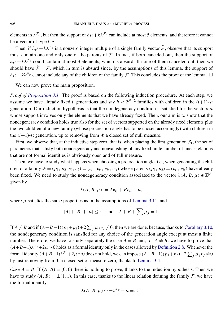elements in  $\lambda^{\mathcal{F}_p}$ , but then the support of  $h\mu + k\lambda^{\mathcal{F}_p}$  can include at most 5 elements, and therefore it cannot be a vector of type CF.

Then, if  $h\mu + k\lambda^{\mathcal{F}_p}$  is a nonzero integer multiple of a single family vector  $\tilde{\mathcal{F}}$ , observe that its support must contain one and only one of the parents of  $\mathcal F$ . In fact, if both canceled out, then the support of  $h\mu + k\lambda^{\mathcal{F}_p}$  could contain at most 3 elements, which is absurd. If none of them canceled out, then we should have  $\tilde{\mathcal{F}} = \mathcal{F}$ , which in turn is absurd since, by the assumptions of this lemma, the support of  $h\mu + k\lambda^{\mathcal{F}_p}$  cannot include any of the children of the family F. This concludes the proof of the lemma.  $\Box$ 

We can now prove the main proposition.

*Proof of [Proposition 3.1.](#page-19-2)* The proof is based on the following induction procedure. At each step, we assume we have already fixed *i* generations and say  $h < 2^{N-2}$  families with children in the  $(i+1)$ -st generation. Our induction hypothesis is that the nondegeneracy condition is satisfied for the vectors  $\mu$ whose support involves only the elements that we have already fixed. Then, our aim is to show that the nondegeneracy condition holds true also for the set of vectors supported on the already fixed elements plus the two children of a new family (whose procreation angle has to be chosen accordingly) with children in the  $(i+1)$ -st generation, up to removing from  $\mathcal X$  a closed set of null measure.

First, we observe that, at the inductive step zero, that is, when placing the first generation  $S_1$ , the set of parameters that satisfy both nondegeneracy and nonvanishing of any fixed finite number of linear relations that are not formal identities is obviously open and of full measure.

Then, we have to study what happens when choosing a procreation angle, i.e., when generating the children of a family  $\mathcal{F} = (p_1, p_2; c_1, c_2) \equiv (v_{i_1}, v_{i_2}; v_{i_3}, v_{i_4})$  whose parents  $(p_1, p_2) \equiv (v_{i_1}, v_{i_2})$  have already been fixed. We need to study the nondegeneracy condition associated to the vector  $\lambda(A, B, \mu) \in \mathbb{Z}^{|S|}$ given by

$$
\lambda(A, B, \mu) := Ae_{i_3} + Be_{i_4} + \mu,
$$

where  $\mu$  satisfies the same properties as in the assumptions of [Lemma 3.11,](#page-25-1) and

$$
|A| + |B| + |\mu| \le 5
$$
 and  $A + B + \sum_{j} \mu_{j} = 1$ .

If  $A \neq B$  and if  $(A+B-1)(p_1+p_2)+2\sum_j \mu_j v_j \neq 0$ , then we are done, because, thanks to [Corollary 3.10,](#page-25-2) the nondegeneracy condition is satisfied for any choice of the generation angle except at most a finite number. Therefore, we have to study separately the case  $A = B$  and, for  $A \neq B$ , we have to prove that  $(A+B-1)\lambda^{F_p}+2\mu \sim 0$  holds as a formal identity only in the cases allowed by [Definition 2.8.](#page-9-0) Whenever the formal identity  $(A+B-1)\lambda^{\mathcal{F}_p}+2\mu \sim 0$  does not hold, we can impose  $(A+B-1)(p_1+p_2)+2\sum_j \mu_j v_j \neq 0$ by just removing from  $\mathcal X$  a closed set of measure zero, thanks to [Lemma 3.4.](#page-22-2)

*Case*  $A = B$ : If  $(A, B) = (0, 0)$  there is nothing to prove, thanks to the induction hypothesis. Then we have to study  $(A, B) = \pm(1, 1)$ . In this case, thanks to the linear relation defining the family F, we have the formal identity

$$
\lambda(A, B, \mu) \sim \pm \lambda^{\mathcal{F}_p} + \mu =: \nu^{\pm}
$$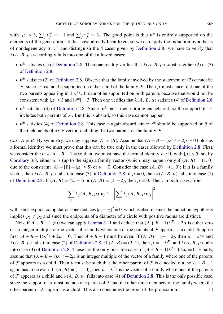with  $|\mu| \leq 3$ ,  $\sum_j v_j^+ = -1$  and  $\sum_j v_j^- = 3$ . The good point is that  $v^{\pm}$  is entirely supported on the elements of the generation set that have already been fixed, so we can apply the induction hypothesis of nondegeneracy to  $v^{\pm}$  and distinguish the 4 cases given by [Definition 2.8:](#page-9-0) we have to verify that  $\lambda(A, B, \mu)$  accordingly falls into one of the allowed cases:

- $v^{\pm}$  satisfies (1) of [Definition 2.8.](#page-9-0) Then one readily verifies that  $\lambda(A, B, \mu)$  satisfies either (2) or (3) of [Definition 2.8.](#page-9-0)
- $v^{\pm}$  satisfies (2) of [Definition 2.8.](#page-9-0) Observe that the family involved by the statement of (2) cannot be F, since  $v^{\pm}$  cannot be supported on either child of the family F. Then  $\mu$  must cancel out one of the two parents appearing in  $\pm \lambda^{\mathcal{F}_p}$ . It cannot be supported on both parents because that would not be consistent with  $|\mu| \le 3$  and  $|\nu^{\pm}| = 3$ . Then one verifies that  $\lambda(A, B, \mu)$  satisfies (4) of [Definition 2.8.](#page-9-0)
- $v^{\pm}$  satisfies (3) of [Definition 2.8.](#page-9-0) Since  $|v^{\pm}| = 1$ , then nothing cancels out, so the support of  $v^{\pm}$ includes both parents of  $F$ . But this is absurd, so this case cannot happen.
- $v^{\pm}$  satisfies (4) of [Definition 2.8.](#page-9-0) This case is again absurd, since  $v^{\pm}$  should be supported on 5 of the 6 elements of a CF vector, including the two parents of the family  $\mathcal{F}$ .

*Case*  $A \neq B$ : By symmetry, we may suppose  $|A| > |B|$ . Assume that  $(A + B - 1)\lambda^{T_p} + 2\mu \sim 0$  holds as a formal identity; we must prove that this can be true only in the cases allowed by [Definition 2.8.](#page-9-0) First, we consider the case  $A + B - 1 = 0$ : then, we must have the formal identity  $\mu \sim 0$  with  $|\mu| < 5$ : so, by [Corollary 3.8,](#page-25-0) either  $\mu$  is (up to the sign) a family vector (which may happen only if  $(A, B) = (1, 0)$ due to the constraint  $|A| + |B| + |\mu| < 5$  or  $\mu = 0$ . Consider the case  $(A, B) = (1, 0)$ : if  $\mu$  is a family vector, then  $\lambda(A, B, \mu)$  falls into case (3) of [Definition 2.8;](#page-9-0) if  $\mu = 0$ , then  $\lambda(A, B, \mu)$  falls into case (1) of [Definition 2.8.](#page-9-0) If  $(A, B) = (2, -1)$  or  $(A, B) = (3, -2)$ , then  $\mu = 0$ . Then, in both cases, from

$$
\sum_{j} \lambda_j(A, B, \mu) |v_j|^2 - \left| \sum_{j} \lambda_j(A, B, \mu) v_j \right|^2
$$

with some explicit computations one deduces  $|c_1-c_2|^2 = 0$ , which is absurd, since the induction hypothesis implies  $p_1 \neq p_2$  and since the endpoints of a diameter of a circle with positive radius are distinct.

Now, if  $A + B - 1 \neq 0$  we can apply [Lemma 3.11](#page-25-1) and deduce that  $(A + B - 1)\lambda^{T_p} + 2\mu$  is either zero or an integer multiple of the vector of a family where one of the parents of  $F$  appears as a child. Suppose first  $(A + B - 1)\lambda^{F_p} + 2\mu = 0$ . Then  $A + B - 1$  must be even. If  $(A, B) = (-1, 0)$ , then  $\mu = \lambda^{F_p}$  and  $\lambda(A, B, \mu)$  falls into case (2) of [Definition 2.8.](#page-9-0) If  $(A, B) = (2, 1)$ , then  $\mu = -\lambda^{\mathcal{F}_p}$  and  $\lambda(A, B, \mu)$  falls into case (3) of [Definition 2.8.](#page-9-0) These are the only possible cases if  $(A + B - 1)\lambda^{\mathcal{F}_p} + 2\mu = 0$ . Finally, assume that  $(A + B - 1)\lambda^{F_p} + 2\mu$  is an integer multiple of the vector of a family where one of the parents of F appears as a child. Then  $\mu$  must be such that the other parent of F is canceled out, so  $A + B - 1$ again has to be even. If  $(A, B) = (-1, 0)$ , then  $\mu - \lambda^{\mathcal{F}_p}$  is the vector of a family where one of the parents of F appears as a child and  $\lambda(A, B, \mu)$  falls into case (4) of [Definition 2.8.](#page-9-0) This is the only possible case, since the support of  $\mu$  must include one parent of  $\mathcal F$  and the other three members of the family where the other parent of  $\mathcal F$  appears as a child. This also concludes the proof of the proposition.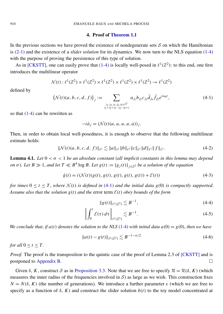#### 4. Proof of [Theorem 1.1](#page-1-2)

<span id="page-28-0"></span>In the previous sections we have proved the existence of nondegenerate sets  $S$  on which the Hamiltonian is [\(2-1\)](#page-10-1) and the existence of a *slider solution* for its dynamics. We now turn to the NLS equation [\(1-4\)](#page-3-1) with the purpose of proving the persistence of this type of solution.

As in [\[CKSTT\],](#page-39-1) one can easily prove that [\(1-4\)](#page-3-1) is locally well-posed in  $\ell^1(\mathbb{Z}^2)$ : to this end, one first introduces the multilinear operator

<span id="page-28-2"></span>
$$
\mathcal{N}(t): \ell^1(\mathbb{Z}^2) \times \ell^1(\mathbb{Z}^2) \times \ell^1(\mathbb{Z}^2) \times \ell^1(\mathbb{Z}^2) \times \ell^1(\mathbb{Z}^2) \to \ell^1(\mathbb{Z}^2)
$$

defined by

$$
\left(\mathcal{N}(t)(a,b,c,d,f)\right)_j := \sum_{\substack{j_1,j_2,j_3,j_4,j_5 \in \mathbb{Z}^2\\j_1+j_2+j_3-j_4-j_5=j}} a_{j_1} b_{j_2} c_{j_3} \bar{d}_{j_4} \bar{f}_{j_5} e^{i\omega_6 t},\tag{4-1}
$$

so that [\(1-4\)](#page-3-1) can be rewritten as

$$
-i\dot{a}_j = (\mathcal{N}(t)(a, a, a, a, a))_j.
$$

Then, in order to obtain local well-posedness, it is enough to observe that the following multilinear estimate holds:

<span id="page-28-5"></span>
$$
\|\mathcal{N}(t)(a,b,c,d,f)\|_{\ell^1} \lesssim \|a\|_{\ell^1} \|b\|_{\ell^1} \|c\|_{\ell^1} \|d\|_{\ell^1} \|f\|_{\ell^1}.
$$
 (4-2)

<span id="page-28-1"></span>Lemma 4.1. *Let* 0 < σ < 1 *be an absolute constant* (*all implicit constants in this lemma may depend on*  $\sigma$ ). Let  $B \gg 1$ , and let  $T \ll B^4 \log B$ . Let  $g(t) := \{g_j(t)\}_{j \in \mathbb{Z}^2}$  be a solution of the equation

$$
\dot{g}(t) = i(\mathcal{N}(t)(g(t), g(t), g(t), g(t), g(t)) + \mathcal{E}(t))
$$
\n(4-3)

*for times*  $0 \le t \le T$ , where  $\mathcal{N}(t)$  *is defined in* [\(4-1\)](#page-28-2) *and the initial data*  $g(0)$  *is compactly supported. Assume also that the solution*  $g(t)$  *and the error term*  $\mathcal{E}(t)$  *obey bounds of the form* 

<span id="page-28-4"></span><span id="page-28-3"></span>
$$
||g(t)||_{\ell^1(\mathbb{Z}^2)} \lesssim B^{-1},\tag{4-4}
$$

$$
\left\| \int_0^t \mathcal{E}(\tau) \, d\tau \right\|_{\ell^1(\mathbb{Z}^2)} \lesssim B^{-1}.\tag{4-5}
$$

*We conclude that, if*  $a(t)$  *denotes the solution to the NLS* [\(1-4\)](#page-3-1) *with initial data*  $a(0) = g(0)$ *, then we have* 

$$
||a(t) - g(t)||_{\ell^1(\mathbb{Z}^2)} \lesssim B^{-1-\sigma/2}
$$
\n(4-6)

*for all*  $0 \le t \le T$ .

*Proof.* The proof is the transposition to the quintic case of the proof of Lemma 2.3 of [\[CKSTT\]](#page-39-1) and is postponed to [Appendix B.](#page-36-0)

Given  $\delta$ , *K*, construct *S* as in [Proposition 3.3.](#page-22-3) Note that we are free to specify  $\mathcal{R} = \mathcal{R}(\delta, K)$  (which measures the inner radius of the frequencies involved in  $S$ ) as large as we wish. This construction fixes  $N = N(\delta, K)$  (the number of generations). We introduce a further parameter  $\epsilon$  (which we are free to specify as a function of  $\delta$ ,  $K$ ) and construct the slider solution  $b(t)$  to the toy model concentrated at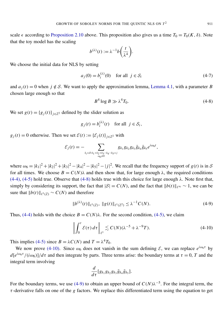scale  $\epsilon$  according to [Proposition 2.10](#page-16-0) above. This proposition also gives us a time  $T_0 = T_0(K, \delta)$ . Note that the toy model has the scaling

$$
b^{(\lambda)}(t) := \lambda^{-1} b\bigg(\frac{t}{\lambda^4}\bigg).
$$

We choose the initial data for NLS by setting

<span id="page-29-0"></span>
$$
a_j(0) = b_i^{(\lambda)}(0) \quad \text{for all } j \in \mathcal{S}_i \tag{4-7}
$$

and  $a_j(t) = 0$  when  $j \notin S$ . We want to apply the approximation lemma, [Lemma 4.1,](#page-28-1) with a parameter *B* chosen large enough so that

$$
B^4 \log B \gg \lambda^4 T_0. \tag{4-8}
$$

We set  $g(t) = {g_j(t)}_{j \in \mathbb{Z}^2}$  defined by the slider solution as

$$
g_j(t) = b_i^{(\lambda)}(t)
$$
 for all  $j \in S_i$ ,

 $g_i(t) = 0$  otherwise. Then we set  $\mathcal{E}(t) := {\{\mathcal{E}_j(t)\}}_{i \in \mathbb{Z}^2}$  with

$$
\mathcal{E}_j(t) = - \sum_{\substack{k_i \in S: k_1 + k_2 + k_3 - k_4 - k_5 = j \\ \omega_6 \neq 0}} g_{k_1} g_{k_2} g_{k_3} \bar{g}_{k_4} \bar{g}_{k_5} e^{i \omega_6 t},
$$

where  $\omega_6 = |k_1|^2 + |k_2|^2 + |k_3|^2 - |k_4|^2 - |k_5|^2 - |j|^2$ . We recall that the frequency support of *g*(*t*) is in *S* for all times. We choose  $B = C(N)\lambda$  and then show that, for large enough  $\lambda$ , the required conditions  $(4-4)$ ,  $(4-5)$  hold true. Observe that  $(4-8)$  holds true with this choice for large enough  $\lambda$ . Note first that, simply by considering its support, the fact that  $|S| = C(N)$ , and the fact that  $||b(t)||_{\ell^{\infty}} \sim 1$ , we can be sure that  $||b(t)||_{\ell^1(\mathbb{Z})} \sim C(N)$  and therefore

<span id="page-29-2"></span>
$$
||b^{(\lambda)}(t)||_{\ell^1(\mathbb{Z})}, \ ||g(t)||_{\ell^1(\mathbb{Z}^2)} \leq \lambda^{-1}C(N). \tag{4-9}
$$

Thus, [\(4-4\)](#page-28-3) holds with the choice  $B = C(N)\lambda$ . For the second condition, [\(4-5\),](#page-28-4) we claim

$$
\left\| \int_0^t \mathcal{E}(\tau) d\tau \right\|_{\ell^1} \lesssim C(N) (\lambda^{-5} + \lambda^{-9} T). \tag{4-10}
$$

This implies [\(4-5\)](#page-28-4) since  $B = \lambda C(N)$  and  $T = \lambda^4 T_0$ .

We now prove [\(4-10\).](#page-29-1) Since  $\omega_6$  does not vanish in the sum defining  $\mathcal{E}$ , we can replace  $e^{i\omega_6 \tau}$  by  $d[e^{i\omega_6\tau}/(i\omega_6)]/d\tau$  and then integrate by parts. Three terms arise: the boundary terms at  $\tau = 0$ , *T* and the integral term involving

<span id="page-29-1"></span>
$$
\frac{d}{d\tau}[g_{k_1}g_{k_2}g_{k_3}\bar{g}_{k_4}\bar{g}_{k_5}].
$$

For the boundary terms, we use [\(4-9\)](#page-29-2) to obtain an upper bound of  $C(N)\lambda^{-5}$ . For the integral term, the τ -derivative falls on one of the *g* factors. We replace this differentiated term using the equation to get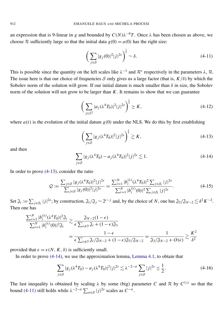an expression that is 9-linear in *g* and bounded by  $C(N)\lambda^{-9}T$ . Once  $\lambda$  has been chosen as above, we choose R sufficiently large so that the initial data  $g(0) = a(0)$  has the right size:

<span id="page-30-2"></span>
$$
\left(\sum_{j\in\mathcal{S}}|g_j(0)|^2|j|^{2s}\right)^{\frac{1}{2}}\sim\delta.
$$
\n(4-11)

This is possible since the quantity on the left scales like  $\lambda^{-1}$  and  $\mathcal{R}^s$  respectively in the parameters  $\lambda$ ,  $\mathcal{R}$ . The issue here is that our choice of frequencies S only gives us a large factor (that is,  $K/\delta$ ) by which the Sobolev norm of the solution will grow. If our initial datum is much smaller than  $\delta$  in size, the Sobolev norm of the solution will not grow to be larger than *K*. It remains to show that we can guarantee

$$
\left(\sum_{j\in\mathbb{Z}^2} |a_j(\lambda^4 T_0)|^2 |j|^{2s}\right)^{\frac{1}{2}} \ge K,\tag{4-12}
$$

where  $a(t)$  is the evolution of the initial datum  $g(0)$  under the NLS. We do this by first establishing

<span id="page-30-0"></span>
$$
\left(\sum_{j\in\mathcal{S}}|g_j(\lambda^4 T_0)|^2|j|^{2s}\right)^{\frac{1}{2}}\gtrsim K,\tag{4-13}
$$

<span id="page-30-1"></span>and then

$$
\sum_{j \in S} |g_j(\lambda^4 T_0) - a_j(\lambda^4 T_0)|^2 |j|^{2s} \lesssim 1.
$$
 (4-14)

In order to prove [\(4-13\),](#page-30-0) consider the ratio

$$
Q := \frac{\sum_{j \in S} |g_j(\lambda^4 T_0)|^2 |j|^{2s}}{\sum_{j \in S} |g_j(0)|^2 |j|^{2s}} = \frac{\sum_{i=1}^N |b_i^{(\lambda)}(\lambda^4 T_0)|^2 \sum_{j \in S_i} |j|^{2s}}{\sum_{i=1}^N |b_i^{(\lambda)}(0)|^2 \sum_{j \in S_i} |j|^{2s}}.
$$
\n(4-15)

Set  $\mathfrak{J}_i := \sum_{j \in \mathcal{S}_i} |j|^{2s}$ ; by construction,  $\mathfrak{J}_i / \mathfrak{J}_j \sim 2^{i-j}$  and, by the choice of *N*, one has  $\mathfrak{J}_3 / \mathfrak{J}_{N-2} \lesssim \delta^2 K^{-2}$ . Then one has

$$
\frac{\sum_{i=1}^{N} |b_i^{(\lambda)}(\lambda^4 T_0)|^2 \mathfrak{J}_i}{\sum_{i=1}^{N} |b_i^{(\lambda)}(0)|^2 \mathfrak{J}_i} \gtrsim \frac{\mathfrak{J}_{N-2}(1-\epsilon)}{\epsilon \sum_{i \neq 3} \mathfrak{J}_i + (1-\epsilon)\mathfrak{J}_3}
$$

$$
= \frac{1-\epsilon}{\epsilon \sum_{i \neq 3} \mathfrak{J}_i / \mathfrak{J}_{N-2} + (1-\epsilon)\mathfrak{J}_3 / \mathfrak{J}_{N-2}} = \frac{1}{\mathfrak{J}_3 / \mathfrak{J}_{N-2} + O(\epsilon)} \gtrsim \frac{K^2}{\delta^2}
$$

provided that  $\epsilon = \epsilon(N, K, \delta)$  is sufficiently small.

In order to prove [\(4-14\),](#page-30-1) we use the approximation lemma, [Lemma 4.1,](#page-28-1) to obtain that

$$
\sum_{j \in S} |g_j(\lambda^4 T_0) - a_j(\lambda^4 T_0)|^2 |j|^{2s} \lesssim \lambda^{-2-\sigma} \sum_{j \in S} |j|^{2s} \le \frac{1}{2}.
$$
 (4-16)

The last inequality is obtained by scaling  $\lambda$  by some (big) parameter *C* and *R* by  $C^{1/s}$  so that the bound [\(4-11\)](#page-30-2) still holds while  $\lambda^{-2-\sigma} \sum_{n \in S} |j|^{2s}$  scales as  $C^{-\sigma}$ .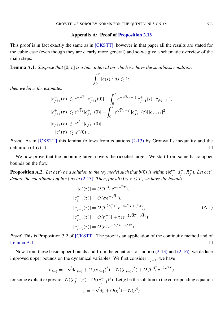#### Appendix A: Proof of [Proposition 2.13](#page-18-0)

<span id="page-31-0"></span>This proof is in fact exactly the same as in [\[CKSTT\],](#page-39-1) however in that paper all the results are stated for the cubic case (even though they are clearly more general) and so we give a schematic overview of the main steps.

<span id="page-31-1"></span>**Lemma A.1.** *Suppose that*  $[0, \tau]$  *is a time interval on which we have the smallness condition* 

$$
\int_0^\tau |c(s)|^2 ds \lesssim 1;
$$

*then we have the estimates*

$$
|c_{j\pm 1}^-(\tau)| \lesssim e^{-\sqrt{3}\tau} |c_{j\pm 1}^-(0)| + \int_0^{\tau} e^{-\sqrt{3}(\tau-s)} |c_{j\pm 1}^+(s)| |c_{\neq j\pm 1}|^2,
$$
  
\n
$$
|c_{j\pm 1}^+(\tau)| \lesssim e^{\sqrt{3}\tau} |c_{j\pm 1}^+(0)| + \int_0^{\tau} e^{\sqrt{3}(\tau-s)} |c_{j\pm 1}^-(s)| |c_{\neq j\pm 1}|^2,
$$
  
\n
$$
|c_{j\pm 1}(\tau)| \lesssim e^{\sqrt{3}\tau} |c_{j\pm 1}(0)|,
$$
  
\n
$$
|c^*(\tau)| \lesssim |c^*(0)|.
$$

*Proof.* As in [\[CKSTT\]](#page-39-1) this lemma follows from equations [\(2-13\)](#page-17-0) by Gronwall's inequality and the definition of  $O($ .).

We now prove that the incoming target covers the ricochet target. We start from some basic upper bounds on the flow.

<span id="page-31-2"></span>**Proposition A.2.** *Let*  $b(\tau)$  *be a solution to the toy model such that*  $b(0)$  *is within*  $(M<sub>i</sub>)$  $\overline{j}$ ,  $d\overline{j}$  $\frac{1}{j}$ ,  $R_j^$ *j*). Let  $c(\tau)$ *denote the coordinates of*  $b(\tau)$  *as in* [\(2-13\)](#page-17-0)*. Then, for all*  $0 \leq \tau \leq T$ *, we have the bounds* 

$$
|c^*(\tau)| = O(T^{A_f^-} e^{-2\sqrt{3}\tau}),
$$
  
\n
$$
|c_{j-1}^+(\tau)| = O(\sigma e^{-\sqrt{3}\tau}),
$$
  
\n
$$
|c_{j-1}^+(\tau)| = O(T^{2A_f^-+1} e^{-4\sqrt{3}\tau + \sqrt{3}\tau}),
$$
  
\n
$$
|c_{j+1}^-(\tau)| = O(r_j^-(1+\tau)e^{-2\sqrt{3}\tau - \sqrt{3}\tau}),
$$
  
\n
$$
|c_{j+1}^+(\tau)| = O(r_j^- e^{-2\sqrt{3}\tau + \sqrt{3}\tau}).
$$
\n(A-1)

*Proof.* This is Proposition 3.2 of [\[CKSTT\].](#page-39-1) The proof is an application of the continuity method and of [Lemma A.1.](#page-31-1)

Now, from these basic upper bounds and from the equations of motion [\(2-13\)](#page-17-0) and [\(2-16\),](#page-17-2) we deduce improved upper bounds on the dynamical variables. We first consider  $c_{i}^ \frac{1}{j-1}$ ; we have

$$
\dot{c}_{j-1}^- = -\sqrt{3}c_{j-1}^- + \mathcal{O}((c_{j-1}^-)^3) + \mathcal{O}((c_{j-1}^-)^5) + O(T^{A_j^-}e^{-2\sqrt{3}T})
$$

for some explicit expression  $\mathcal{O}((c_i^-))$  $\frac{1}{(c-1)^3}$ ) +  $\mathcal{O}((c_j^-)$  $\int_{j-1}^{j}$ <sup>5</sup>). Let *g* be the solution to the corresponding equation

$$
\dot{g} = -\sqrt{3}g + \mathcal{O}(g^3) + \mathcal{O}(g^5)
$$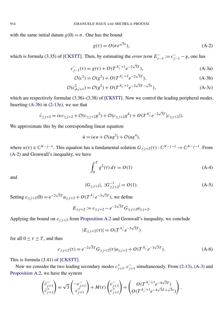<span id="page-32-2"></span><span id="page-32-1"></span><span id="page-32-0"></span>√

with the same initial datum  $g(0) = \sigma$ . One has the bound

$$
g(\tau) = O(\sigma e^{\sqrt{3}\tau}), \tag{A-2}
$$

which is formula (3.35) of [\[CKSTT\].](#page-39-1) Then, by estimating the *error term*  $E_{j-1}^- := c_{j-1}^- - g$ , one has

$$
c_{j-1}^-(\tau) = g(\tau) + O(T^{A_j^- + 1} e^{-2\sqrt{3}T}),
$$
\n(A-3a)

$$
\mathcal{O}(c^2) = \mathcal{O}(g^2) + O(T^{A_j^- + 1} e^{-2\sqrt{3}T}),
$$
 (A-3b)

$$
\mathcal{O}(c_{\neq j+1}^2) = \mathcal{O}(g^2) + O(T^{A_j^-+1}e^{-2\sqrt{3}T - \sqrt{3}\tau}),
$$
 (A-3c)

which are respectively formulae  $(3.36)$ – $(3.38)$  of [\[CKSTT\].](#page-39-1) Now we control the leading peripheral modes. Inserting  $(A-3b)$  in  $(2-13e)$ , we see that

$$
\dot{c}_{\geq j+2} = i\kappa c_{\geq j+2} + \mathcal{O}(c_{\geq j+2}g^2) + \mathcal{O}(c_{\geq j+2}g^4) + O(T^{A_j^-}e^{-2\sqrt{3}T}|c_{\geq j+2}|).
$$

We approximate this by the corresponding linear equation

$$
\dot{u} = i\kappa u + \mathcal{O}(u g^2) + \mathcal{O}(u g^4),
$$

where  $u(\tau) \in \mathbb{C}^{N-j-1}$ . This equation has a fundamental solution  $G_{\geq j+2}(\tau): \mathbb{C}^{N-j-1} \to \mathbb{C}^{N-j-1}$ . From [\(A-2\)](#page-32-1) and Gronwall's inequality, we have

$$
\int_0^T g^2(\tau) \, d\tau = O(1) \tag{A-4}
$$

and

$$
|G_{\geq j+2}|, |G_{\geq j+2}^{-1}| = O(1). \tag{A-5}
$$

Setting  $c_{\ge j+2}(0) = e^{-2\sqrt{3}T} a_{\ge j+2} + O(T^{A_j^-} e^{-3\sqrt{3}T})$ , we define

$$
E_{\geq j+2} := c_{\geq j+2} - e^{-2\sqrt{3}T} G_{\geq j+2} a_{\geq j+2}.
$$

Applying the bound on  $c_{\geq j+2}$  from [Proposition A.2](#page-31-2) and Gronwall's inequality, we conclude

$$
|E_{\geq j+2}(\tau)| = O(T^{A_j^-} e^{-3\sqrt{3}T})
$$

for all  $0 \leq \tau \leq T$ , and thus

$$
c_{\geq j+2}(\tau) = e^{-2\sqrt{3}T} G_{\geq j+2}(\tau) a_{\geq j+2} + O(T^{A_j^-} e^{-3\sqrt{3}T}). \tag{A-6}
$$

√

This is formula (3.41) of [\[CKSTT\].](#page-39-1)

Now we consider the two leading secondary modes  $c_i^+$ <sup>+</sup><sub>*j*+1</sub>, *c*<sup>-</sup><sub>*j*−</sub>  $j_{j+1}$  simultaneously. From [\(2-13\),](#page-17-0) [\(A-3\)](#page-32-2) and [Proposition A.2,](#page-31-2) we have the system

$$
\begin{pmatrix} \dot{c}_{j+1}^- \\ \dot{c}_{j+1}^+ \end{pmatrix} = \sqrt{3} \begin{pmatrix} -c_{j+1}^- \\ c_{j+1}^+ \end{pmatrix} + M(\tau) \begin{pmatrix} c_{j+1}^- \\ c_{j+1}^+ \end{pmatrix} + \begin{pmatrix} O(T^{A_j^-+1}e^{-4\sqrt{3}T}) \\ O(T^{A_j^-+1}e^{-4\sqrt{3}T} + \sqrt{3}\tau) \end{pmatrix}.
$$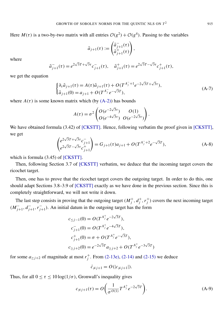Here  $M(\tau)$  is a two-by-two matrix with all entries  $\mathcal{O}(g^2) + \mathcal{O}(g^4)$ . Passing to the variables

$$
\tilde{a}_{j+1}(\tau) := \begin{pmatrix} \tilde{a}_{j+1}^-(\tau) \\ \tilde{a}_{j+1}^+(\tau) \end{pmatrix}
$$

where

$$
\tilde{a}_{j+1}^-(\tau) = e^{2\sqrt{3}T + \sqrt{3}\tau} c_{j+1}^-(\tau), \quad \tilde{a}_{j+1}^+(\tau) = e^{2\sqrt{3}T - \sqrt{3}\tau} c_{j+1}^+(\tau),
$$

we get the equation

$$
\begin{cases} \partial_{\tau}\tilde{a}_{j+1}(\tau) = A(\tau)\tilde{a}_{j+1}(\tau) + O(T^{A_j^{-}} + 1 e^{-2\sqrt{3}T + \sqrt{3}\tau}), \\ \tilde{a}_{j+1}(0) = a_{j+1} + O(T^{A_j^{-}} e^{-\sqrt{3}T}), \end{cases}
$$
 (A-7)

,

where  $A(\tau)$  is some known matrix which (by  $(A-2)$ ) has bounds

$$
A(\tau) = \sigma^2 \begin{pmatrix} O(e^{-2\sqrt{3}\tau}) & O(1) \\ O(e^{-4\sqrt{3}\tau}) & O(e^{-2\sqrt{3}\tau}) \end{pmatrix}.
$$

We have obtained formula (3.42) of [\[CKSTT\].](#page-39-1) Hence, following verbatim the proof given in [\[CKSTT\],](#page-39-1) we get √ √

$$
\begin{pmatrix} e^{2\sqrt{3}T + \sqrt{3}\tau} c_{j+1}^- \\ e^{2\sqrt{3}T - \sqrt{3}\tau} c_{j+1}^+ \end{pmatrix} = G_{j+1}(\tau) a_{j+1} + O(T^{A_j^- + 2} e^{-\sqrt{3}T}), \tag{A-8}
$$

which is formula  $(3.45)$  of [\[CKSTT\].](#page-39-1)

Then, following Section 3.7 of [\[CKSTT\]](#page-39-1) verbatim, we deduce that the incoming target covers the ricochet target.

Then, one has to prove that the ricochet target covers the outgoing target. In order to do this, one should adapt Sections 3.8–3.9 of [\[CKSTT\]](#page-39-1) exactly as we have done in the previous section. Since this is completely straightforward, we will not write it down.

The last step consists in proving that the outgoing target  $(M_i^+)$  $j^+$ ,  $d_j^+$  $j^+$ ,  $r_j^+$  $j<sup>+</sup>$ ) covers the next incoming target  $(M_{i-1}^-)$ <sup>−</sup><sub>*j*+1</sub>, *d*<sup>−</sup><sub>*j*−</sub> *j*+1 ,*r* −  $^{-}_{j+1}$ ). An initial datum in the outgoing target has the form

$$
c_{\leq j-1}(0) = O(T^{A_j^+} e^{-2\sqrt{3}T}),
$$
  
\n
$$
c_{j+1}^-(0) = O(T^{A_j^+} e^{-4\sqrt{3}T}),
$$
  
\n
$$
c_{j+1}^+(0) = \sigma + O(T^{A_j^+} e^{-\sqrt{3}T}),
$$
  
\n
$$
c_{\geq j+2}(0) = e^{-2\sqrt{3}T} a_{\geq j+2} + O(T^{A_j^+} e^{-3\sqrt{3}T})
$$

for some  $a_{\geq j+2}$  of magnitude at most  $r_j^+$  $j^+$ . From [\(2-13e\),](#page-17-3) [\(2-14\)](#page-17-4) and [\(2-15\)](#page-17-5) we deduce

<span id="page-33-0"></span>
$$
\dot{c}_{\neq j+1} = O(|c_{\neq j+1}|).
$$

Thus, for all  $0 \le \tau \le 10 \log(1/\sigma)$ , Gronwall's inequality gives

$$
c_{\neq j+1}(\tau) = O\left(\frac{1}{\sigma^{O(1)}} T^{A_j^+} e^{-2\sqrt{3}T}\right).
$$
 (A-9)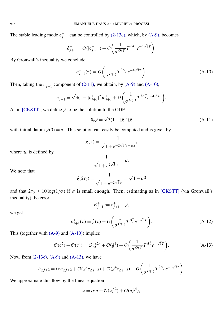The stable leading mode  $c_{i}^ \bar{j}_{j+1}$  can be controlled by [\(2-13c\),](#page-17-6) which, by [\(A-9\),](#page-33-0) becomes

$$
\dot{c}_{j+1}^- = O(|c_{j+1}^-|) + O\bigg(\frac{1}{\sigma^{O(1)}}T^{2A_j^+}e^{-4\sqrt{3}T}\bigg).
$$

By Gronwall's inequality we conclude

<span id="page-34-0"></span>
$$
c_{j+1}^-(\tau) = O\left(\frac{1}{\sigma^{O(1)}} T^{2A_j^+} e^{-4\sqrt{3}T}\right).
$$
 (A-10)

Then, taking the  $c_{i}^{+}$  $j_{j+1}^+$  component of [\(2-11\),](#page-16-1) we obtain, by [\(A-9\)](#page-33-0) and [\(A-10\),](#page-34-0)

$$
\dot{c}_{j+1}^+ = \sqrt{3}(1 - |c_{j+1}^+|^2)c_{j+1}^+ + O\left(\frac{1}{\sigma^{O(1)}}T^{2A_j^+}e^{-4\sqrt{3}T}\right).
$$

As in [\[CKSTT\],](#page-39-1) we define  $\hat{g}$  to be the solution to the ODE

$$
\partial_{\tau}\hat{g} = \sqrt{3}(1 - |\hat{g}|^2)\hat{g}
$$
 (A-11)

with initial datum  $\hat{g}(0) = \sigma$ . This solution can easily be computed and is given by

$$
\hat{g}(\tau) = \frac{1}{\sqrt{1 + e^{-2\sqrt{3}(\tau - \tau_0)}}},
$$

where  $\tau_0$  is defined by

$$
\frac{1}{\sqrt{1+e^{2\sqrt{3}\tau_0}}}=\sigma.
$$

We note that

$$
\hat{g}(2\tau_0) = \frac{1}{\sqrt{1 + e^{-2\sqrt{3}\tau_0}}} = \sqrt{1 - \sigma^2}
$$

and that  $2\tau_0 \le 10 \log(1/\sigma)$  if  $\sigma$  is small enough. Then, estimating as in [\[CKSTT\]](#page-39-1) (via Gronwall's inequality) the error

<span id="page-34-1"></span>
$$
E_{j+1}^+ := c_{j+1}^+ - \hat{g},
$$

we get

$$
c_{j+1}^{+}(\tau) = \hat{g}(\tau) + O\left(\frac{1}{\sigma^{O(1)}} T^{A_{j}^{+}} e^{-\sqrt{3}T}\right).
$$
 (A-12)

This (together with  $(A-9)$  and  $(A-10)$ ) implies

$$
\mathcal{O}(c^2) + \mathcal{O}(c^4) = \mathcal{O}(\hat{g}^2) + \mathcal{O}(\hat{g}^4) + O\left(\frac{1}{\sigma^{O(1)}} T^{A_j^+} e^{-\sqrt{3}T}\right).
$$
 (A-13)

Now, from [\(2-13c\),](#page-17-6) [\(A-9\)](#page-33-0) and [\(A-13\),](#page-34-1) we have

$$
\dot{c}_{\geq j+2} = i\kappa c_{\geq j+2} + \mathcal{O}(\hat{g}^2 c_{\geq j+2}) + \mathcal{O}(\hat{g}^4 c_{\geq j+2}) + O\left(\frac{1}{\sigma^{O(1)}} T^{2A_j^+} e^{-3\sqrt{3}T}\right).
$$

We approximate this flow by the linear equation

$$
\dot{u} = i\kappa u + \mathcal{O}(u\hat{g}^2) + \mathcal{O}(u\hat{g}^4),
$$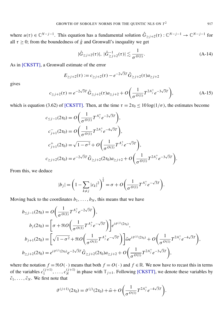where  $u(\tau) \in \mathbb{C}^{N-j-1}$ . This equation has a fundamental solution  $\hat{G}_{\geq j+2}(\tau) : \mathbb{C}^{N-j-1} \to \mathbb{C}^{N-j-1}$  for all  $\tau \geq 0$ ; from the boundedness of  $\hat{g}$  and Gronwall's inequality we get

<span id="page-35-0"></span>
$$
|\hat{G}_{\geq j+2}(\tau)|, \ |\hat{G}_{\geq j+2}^{-1}(\tau)| \lesssim \frac{1}{\sigma^{O(1)}}.
$$
 (A-14)

As in [\[CKSTT\],](#page-39-1) a Gronwall estimate of the error

$$
E_{\geq j+2}(\tau) := c_{\geq j+2}(\tau) - e^{-2\sqrt{3}T} \hat{G}_{\geq j+2}(\tau) a_{\geq j+2}
$$

gives

$$
c_{\geq j+2}(\tau) = e^{-2\sqrt{3}T} \hat{G}_{\geq j+2}(\tau) a_{\geq j+2} + O\left(\frac{1}{\sigma^{O(1)}} T^{2A_j^+} e^{-3\sqrt{3}T}\right),\tag{A-15}
$$

which is equation (3.62) of [\[CKSTT\].](#page-39-1) Then, at the time  $\tau = 2\tau_0 \le 10 \log(1/\sigma)$ , the estimates become

$$
c_{\leq j-1}(2\tau_0) = O\left(\frac{1}{\sigma^{O(1)}} T^{A_j^+} e^{-2\sqrt{3}T}\right),
$$
  
\n
$$
c_{j+1}^-(2\tau_0) = O\left(\frac{1}{\sigma^{O(1)}} T^{2A_j^+} e^{-4\sqrt{3}T}\right),
$$
  
\n
$$
c_{j+1}^+(2\tau_0) = \sqrt{1-\sigma^2} + O\left(\frac{1}{\sigma^{O(1)}} T^{A_j^+} e^{-\sqrt{3}T}\right),
$$
  
\n
$$
c_{\geq j+2}(2\tau_0) = e^{-2\sqrt{3}T} \hat{G}_{\geq j+2}(2\tau_0) a_{\geq j+2} + O\left(\frac{1}{\sigma^{O(1)}} T^{2A_j^+} e^{-3\sqrt{3}T}\right).
$$

From this, we deduce

$$
|b_j| = \left(1 - \sum_{k \neq j} |c_k|^2\right)^{\frac{1}{2}} = \sigma + O\left(\frac{1}{\sigma^{O(1)}} T^{A_j^+} e^{-\sqrt{3}T}\right).
$$

Moving back to the coordinates  $b_1, \ldots, b_N$ , this means that we have

$$
b_{\leq j-1}(2\tau_0) = O\left(\frac{1}{\sigma^{O(1)}} T^{A_j^+} e^{-2\sqrt{3}T}\right),
$$
  
\n
$$
b_j(2\tau_0) = \left[\sigma + \Re O\left(\frac{1}{\sigma^{O(1)}} T^{A_j^+} e^{-\sqrt{3}T}\right)\right] e^{i\vartheta^{(j)}(2\tau_0)},
$$
  
\n
$$
b_{j+1}(2\tau_0) = \left[\sqrt{1-\sigma^2} + \Re O\left(\frac{1}{\sigma^{O(1)}} T^{A_j^+} e^{-\sqrt{3}T}\right)\right] \bar{\omega} e^{i\vartheta^{(j)}(2\tau_0)} + O\left(\frac{1}{\sigma^{O(1)}} T^{2A_j^+} e^{-4\sqrt{3}T}\right),
$$
  
\n
$$
b_{\geq j+2}(2\tau_0) = e^{i\vartheta^{(j)}(2\tau_0)} e^{-2\sqrt{3}T} \hat{G}_{\geq j+2}(2\tau_0) a_{\geq j+2} + O\left(\frac{1}{\sigma^{O(1)}} T^{2A_j^+} e^{-3\sqrt{3}T}\right),
$$

where the notation  $f = \Re O(\cdot)$  means that both  $f = O(\cdot)$  and  $f \in \mathbb{R}$ . We now have to recast this in terms of the variables  $c_1^{(j+1)}$  $\binom{j+1}{1}, \ldots, \binom{j+1}{N}$  $N^{(j+1)}$  in phase with  $\mathbb{T}_{j+1}$ . Following [\[CKSTT\],](#page-39-1) we denote these variables by  $\tilde{c}_1, \ldots, \tilde{c}_N$ . We first note that

$$
\vartheta^{(j+1)}(2\tau_0) = \vartheta^{(j)}(2\tau_0) + \bar{\omega} + O\bigg(\frac{1}{\sigma^{O(1)}}T^{2A_j^+}e^{-4\sqrt{3}T}\bigg).
$$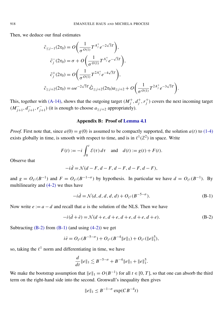Then, we deduce our final estimates

$$
\tilde{c}_{\leq j-1}(2\tau_0) = O\left(\frac{1}{\sigma^{O(1)}} T^{A_j^+} e^{-2\sqrt{3}T}\right),
$$
\n
$$
\tilde{c}_j^-(2\tau_0) = \sigma + O\left(\frac{1}{\sigma^{O(1)}} T^{A_j^+} e^{-\sqrt{3}T}\right),
$$
\n
$$
\tilde{c}_j^+(2\tau_0) = O\left(\frac{1}{\sigma^{O(1)}} T^{2A_j^+} e^{-4\sqrt{3}T}\right),
$$
\n
$$
\tilde{c}_{\geq j+2}(2\tau_0) = \omega e^{-2\sqrt{3}T} \hat{G}_{\geq j+2}(2\tau_0) a_{\geq j+2} + O\left(\frac{1}{\sigma^{O(1)}} T^{2A_j^+} e^{-3\sqrt{3}T}\right).
$$

This, together with [\(A-14\),](#page-35-0) shows that the outgoing target  $(M_i^+)$  $j^+$ ,  $d_j^+$  $j^+$ ,  $r_j^+$  $j<sup>+</sup>$ ) covers the next incoming target  $(M_{i-1}^-)$ <sup>−</sup><sub>*j*+1</sub>, *d*<sup>−</sup><sub>*j*−</sub> −<br>*j*+1</sub>, *r*<sup>−</sup>  $j_{j+1}$ ) (it is enough to choose  $a_{\geq j+2}$  appropriately).

#### Appendix B: Proof of [Lemma 4.1](#page-28-1)

<span id="page-36-0"></span>*Proof.* First note that, since  $a(0) = g(0)$  is assumed to be compactly supported, the solution  $a(t)$  to [\(1-4\)](#page-3-1) exists globally in time, is smooth with respect to time, and is in  $\ell^1(\mathbb{Z}^2)$  in space. Write

$$
F(t) := -i \int_0^t \mathcal{E}(\tau) d\tau \quad \text{and} \quad d(t) := g(t) + F(t).
$$

Observe that

$$
-i\dot{d} = \mathcal{N}(d - F, d - F, d - F, d - F, d - F),
$$

and  $g = O_{\ell^1}(B^{-1})$  and  $F = O_{\ell^1}(B^{-1-\sigma})$  by hypothesis. In particular we have  $d = O_{\ell^1}(B^{-1})$ . By multilinearity and [\(4-2\)](#page-28-5) we thus have

<span id="page-36-2"></span><span id="page-36-1"></span>
$$
-i\dot{d} = \mathcal{N}(d, d, d, d, d) + O_{\ell^1}(B^{-5-\sigma}).
$$
 (B-1)

Now write  $e := a - d$  and recall that *a* is the solution of the NLS. Then we have

$$
-i(\dot{d} + \dot{e}) = \mathcal{N}(d + e, d + e, d + e, d + e, d + e).
$$
 (B-2)

Subtracting  $(B-2)$  from  $(B-1)$  (and using  $(4-2)$ ) we get

$$
i\dot{e} = O_{\ell^1}(B^{-5-\sigma}) + O_{\ell^1}(B^{-4}||e||_1) + O_{\ell^1}(||e||_1^5),
$$

so, taking the  $\ell^1$  norm and differentiating in time, we have

$$
\frac{d}{dt}||e||_1 \lesssim B^{-5-\sigma} + B^{-4}||e||_1 + ||e||_1^5.
$$

We make the bootstrap assumption that  $||e||_1 = O(B^{-1})$  for all  $t \in [0, T]$ , so that one can absorb the third term on the right-hand side into the second. Gronwall's inequality then gives

$$
\|e\|_1 \le B^{-1-\sigma} \exp(CB^{-4}t)
$$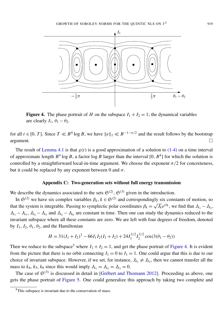<span id="page-37-2"></span>

Figure 4. The phase portrait of *H* on the subspace  $I_1 + I_2 = 1$ ; the dynamical variables are clearly  $I_1$ ,  $\theta_1 - \theta_2$ .

for all  $t \in [0, T]$ . Since  $T \ll B^4 \log B$ , we have  $||e||_1 \ll B^{-1-\sigma/2}$  and the result follows by the bootstrap argument.

The result of [Lemma 4.1](#page-28-1) is that  $g(t)$  is a good approximation of a solution to [\(1-4\)](#page-3-1) on a time interval of approximate length  $B^4$  log B, a factor log B larger than the interval  $[0, B^4]$  for which the solution is controlled by a straightforward local-in-time argument. We choose the exponent  $\sigma/2$  for concreteness, but it could be replaced by any exponent between 0 and  $\sigma$ .

#### Appendix C: Two-generation sets without full energy transmission

<span id="page-37-0"></span>We describe the dynamics associated to the sets  $\mathfrak{S}^{(2)}$ ,  $\mathfrak{S}^{(3)}$  given in the introduction.

In  $\mathfrak{S}^{(2)}$  we have six complex variables  $\beta_k$ ,  $k \in \mathfrak{S}^{(2)}$  and correspondingly six constants of motion, so that the system is integrable. Passing to symplectic polar coordinates  $\beta_k = \sqrt{J_k}e^{i\theta_k}$ , we find that  $J_{k_1} - J_{k_2}$ ,  $J_{k_1} - J_{k_3}$ ,  $J_{k_4} - J_{k_5}$  and  $J_{k_4} - J_{k_6}$  are constant in time. Then one can study the dynamics reduced to the invariant subspace where all these constants are zero. We are left with four degrees of freedom, denoted by  $I_1$ ,  $I_2$ ,  $\theta_1$ ,  $\theta_2$ , and the Hamiltonian

$$
H = 31(I_1 + I_2)^3 - 66I_1I_2(I_1 + I_2) + 24I_1^{3/2}I_2^{3/2}\cos(3(\theta_1 - \theta_2))
$$

Then we reduce to the subspace<sup>[5](#page-37-1)</sup> where  $I_1 + I_2 = 1$ , and get the phase portrait of [Figure 4.](#page-37-2) It is evident from the picture that there is no orbit connecting  $I_1 = 0$  to  $I_1 = 1$ . One could argue that this is due to our choice of invariant subspace. However, if we set, for instance,  $J_{k_1} \neq J_{k_2}$ , then we cannot transfer all the mass to  $k_4$ ,  $k_5$ ,  $k_6$  since this would imply  $J_{k_1} = J_{k_2} = J_{k_3} = 0$ .

The case of  $\mathfrak{S}^{(3)}$  is discussed in detail in [\[Grébert and Thomann 2012\]](#page-39-21). Proceeding as above, one gets the phase portrait of [Figure 5.](#page-38-8) One could generalize this approach by taking two complete and

<span id="page-37-1"></span> $5$ This subspace is invariant due to the conservation of mass.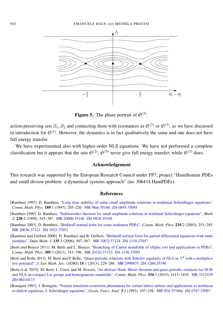<span id="page-38-8"></span>

**Figure 5.** The phase portrait of  $\mathfrak{S}^{(3)}$ .

action-preserving sets  $S_1$ ,  $S_2$  and connecting them with resonances as  $\mathfrak{S}^{(2)}$  or  $\mathfrak{S}^{(3)}$ , as we have discussed in introduction for  $\mathfrak{S}^{(1)}$ . However, the dynamics is in fact qualitatively the same and one does not have full energy transfer.

We have experimented also with higher-order NLS equations. We have not performed a complete classification but it appears that the sets  $\mathfrak{S}^{(2)}$ ,  $\mathfrak{S}^{(3)}$  never give full energy transfer, while  $\mathfrak{S}^{(1)}$  does.

#### Acknowledgement

This research was supported by the European Research Council under FP7, project "Hamiltonian PDEs and small divisor problem: a dynamical systems approach" (no. 306414 HamPDEs).

#### **References**

- <span id="page-38-1"></span>[Bambusi 1997] D. Bambusi, ["Long time stability of some small amplitude solutions in nonlinear Schrödinger equations",](http://dx.doi.org/10.1007/s002200050196) *Comm. Math. Phys.* 189:1 (1997), 205–226. [MR 98m:35188](http://msp.org/idx/mr/98m:35188) [Zbl 0895.35095](http://msp.org/idx/zbl/0895.35095)
- <span id="page-38-2"></span>[Bambusi 1999] D. Bambusi, ["Nekhoroshev theorem for small amplitude solutions in nonlinear Schrödinger equations",](http://dx.doi.org/10.1007/PL00004696) *Math. Z.* 230:2 (1999), 345–387. [MR 2000h:35146](http://msp.org/idx/mr/2000h:35146) [Zbl 0928.35160](http://msp.org/idx/zbl/0928.35160)
- <span id="page-38-3"></span>[Bambusi 2003] D. Bambusi, ["Birkhoff normal form for some nonlinear PDEs",](http://dx.doi.org/10.1007/s00220-002-0774-4) *Comm. Math. Phys.* 234:2 (2003), 253–285. [MR 2003k:37121](http://msp.org/idx/mr/2003k:37121) [Zbl 1032.37051](http://msp.org/idx/zbl/1032.37051)
- <span id="page-38-4"></span>[Bambusi and Grébert 2006] D. Bambusi and B. Grébert, ["Birkhoff normal form for partial differential equations with tame](http://dx.doi.org/10.1215/S0012-7094-06-13534-2) [modulus",](http://dx.doi.org/10.1215/S0012-7094-06-13534-2) *Duke Math. J.* 135:3 (2006), 507–567. [MR 2007j:37124](http://msp.org/idx/mr/2007j:37124) [Zbl 1110.37057](http://msp.org/idx/zbl/1110.37057)
- <span id="page-38-6"></span>[Berti and Biasco 2011] M. Berti and L. Biasco, ["Branching of Cantor manifolds of elliptic tori and applications to PDEs",](http://dx.doi.org/10.1007/s00220-011-1264-3) *Comm. Math. Phys.* 305:3 (2011), 741–796. [MR 2012e:37152](http://msp.org/idx/mr/2012e:37152) [Zbl 1230.37092](http://msp.org/idx/zbl/1230.37092)
- <span id="page-38-5"></span>[Berti and Bolle 2013] M. Berti and P. Bolle, ["Quasi-periodic solutions with Sobolev regularity of NLS on](http://dx.doi.org/10.4171/JEMS/361)  $\mathbb{T}^d$  with a multiplica[tive potential",](http://dx.doi.org/10.4171/JEMS/361) *J. Eur. Math. Soc.* (*JEMS*) 15:1 (2013), 229–286. [MR 2998835](http://msp.org/idx/mr/2998835) [Zbl 1260.35196](http://msp.org/idx/zbl/1260.35196)
- <span id="page-38-7"></span>[Berti et al. 2015] M. Berti, L. Corsi, and M. Procesi, ["An abstract Nash–Moser theorem and quasi-periodic solutions for NLW](http://dx.doi.org/10.1007/s00220-014-2128-4) [and NLS on compact Lie groups and homogeneous manifolds",](http://dx.doi.org/10.1007/s00220-014-2128-4) *Comm. Math. Phys.* 334:3 (2015), 1413–1454. [MR 3312439](http://msp.org/idx/mr/3312439) [Zbl 06410173](http://msp.org/idx/zbl/06410173)
- <span id="page-38-0"></span>[Bourgain 1993] J. Bourgain, ["Fourier transform restriction phenomena for certain lattice subsets and applications to nonlinear](http://dx.doi.org/10.1007/BF01896020) [evolution equations, I: Schrödinger equations",](http://dx.doi.org/10.1007/BF01896020) *Geom. Funct. Anal.* 3:2 (1993), 107–156. [MR 95d:35160a](http://msp.org/idx/mr/95d:35160a) [Zbl 0787.35097](http://msp.org/idx/zbl/0787.35097)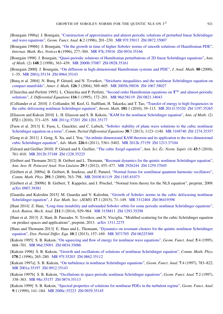- <span id="page-39-20"></span>[Bourgain 1996a] J. Bourgain, ["Construction of approximative and almost periodic solutions of perturbed linear Schrödinger](http://dx.doi.org/10.1007/BF02247885) [and wave equations",](http://dx.doi.org/10.1007/BF02247885) *Geom. Funct. Anal.* 6:2 (1996), 201–230. [MR 97f:35013](http://msp.org/idx/mr/97f:35013) [Zbl 0872.35007](http://msp.org/idx/zbl/0872.35007)
- <span id="page-39-3"></span>[Bourgain 1996b] J. Bourgain, ["On the growth in time of higher Sobolev norms of smooth solutions of Hamiltonian PDE",](http://dx.doi.org/10.1155/S1073792896000207) *Internat. Math. Res. Notices* 6 (1996), 277–304. [MR 97k:35016](http://msp.org/idx/mr/97k:35016) [Zbl 0934.35166](http://msp.org/idx/zbl/0934.35166)
- <span id="page-39-16"></span>[Bourgain 1998] J. Bourgain, ["Quasi-periodic solutions of Hamiltonian perturbations of 2D linear Schrödinger equations",](http://dx.doi.org/10.2307/121001) *Ann. of Math.* (2) 148:2 (1998), 363–439. [MR 2000b:37087](http://msp.org/idx/mr/2000b:37087) [Zbl 0928.35161](http://msp.org/idx/zbl/0928.35161)
- <span id="page-39-4"></span>[Bourgain 2000] J. Bourgain, ["On diffusion in high-dimensional Hamiltonian systems and PDE",](http://dx.doi.org/10.1007/BF02791532) *J. Anal. Math.* 80 (2000), 1–35. [MR 2001j:35134](http://msp.org/idx/mr/2001j:35134) [Zbl 0964.35143](http://msp.org/idx/zbl/0964.35143)
- <span id="page-39-0"></span>[Burq et al. 2004] N. Burq, P. Gérard, and N. Tzvetkov, ["Strichartz inequalities and the nonlinear Schrödinger equation on](http://dx.doi.org/10.1353/ajm.2004.0016) [compact manifolds",](http://dx.doi.org/10.1353/ajm.2004.0016) *Amer. J. Math.* 126:3 (2004), 569–605. [MR 2005h:58036](http://msp.org/idx/mr/2005h:58036) [Zbl 1067.58027](http://msp.org/idx/zbl/1067.58027)
- <span id="page-39-19"></span>[Chierchia and Perfetti 1995] L. Chierchia and P. Perfetti, ["Second order Hamiltonian equations on](http://dx.doi.org/10.1006/jdeq.1995.1033)  $T^{\infty}$  and almost-periodic [solutions",](http://dx.doi.org/10.1006/jdeq.1995.1033) *J. Differential Equations* 116:1 (1995), 172–201. [MR 96d:58119](http://msp.org/idx/mr/96d:58119) [Zbl 0821.34043](http://msp.org/idx/zbl/0821.34043)
- <span id="page-39-1"></span>[Colliander et al. 2010] J. Colliander, M. Keel, G. Staffilani, H. Takaoka, and T. Tao, ["Transfer of energy to high frequencies in](http://dx.doi.org/10.1007/s00222-010-0242-2) [the cubic defocusing nonlinear Schrödinger equation",](http://dx.doi.org/10.1007/s00222-010-0242-2) *Invent. Math.* 181:1 (2010), 39–113. [MR 2011f:35320](http://msp.org/idx/mr/2011f:35320) [Zbl 1197.35265](http://msp.org/idx/zbl/1197.35265)
- <span id="page-39-17"></span>[Eliasson and Kuksin 2010] L. H. Eliasson and S. B. Kuksin, ["KAM for the nonlinear Schrödinger equation",](http://dx.doi.org/10.4007/annals.2010.172.371) *Ann. of Math.* (2) 172:1 (2010), 371–435. [MR 2011g:37203](http://msp.org/idx/mr/2011g:37203) [Zbl 1201.35177](http://msp.org/idx/zbl/1201.35177)
- <span id="page-39-5"></span>[Faou et al. 2013] E. Faou, L. Gauckler, and C. Lubich, ["Sobolev stability of plane wave solutions to the cubic nonlinear](http://dx.doi.org/10.1080/03605302.2013.785562) [Schrödinger equation on a torus",](http://dx.doi.org/10.1080/03605302.2013.785562) *Comm. Partial Differential Equations* 38:7 (2013), 1123–1140. [MR 3169740](http://msp.org/idx/mr/3169740) [Zbl 1274.35357](http://msp.org/idx/zbl/1274.35357)
- <span id="page-39-18"></span>[Geng et al. 2011] J. Geng, X. Xu, and J. You, ["An infinite dimensional KAM theorem and its application to the two dimensional](http://dx.doi.org/10.1016/j.aim.2011.01.013) [cubic Schrödinger equation",](http://dx.doi.org/10.1016/j.aim.2011.01.013) *Adv. Math.* 226:6 (2011), 5361–5402. [MR 2012k:37159](http://msp.org/idx/mr/2012k:37159) [Zbl 1213.37104](http://msp.org/idx/zbl/1213.37104)
- <span id="page-39-13"></span>[Gérard and Grellier 2010] P. Gérard and S. Grellier, "The cubic Szegő equation", *Ann. Sci. Éc. Norm. Supér.* (4) 43:5 (2010), 761–810. [MR 2012b:37188](http://msp.org/idx/mr/2012b:37188) [Zbl 1228.35225](http://msp.org/idx/zbl/1228.35225)
- <span id="page-39-21"></span>[Grébert and Thomann 2012] B. Grébert and L. Thomann, ["Resonant dynamics for the quintic nonlinear Schrödinger equation",](http://dx.doi.org/10.1016/j.anihpc.2012.01.005) *Ann. Inst. H. Poincaré Anal. Non Linéaire* 29:3 (2012), 455–477. [MR 2926244](http://msp.org/idx/mr/2926244) [Zbl 1259.37045](http://msp.org/idx/zbl/1259.37045)
- <span id="page-39-14"></span>[Grébert et al. 2009a] B. Grébert, R. Imekraz, and É. Paturel, ["Normal forms for semilinear quantum harmonic oscillators",](http://dx.doi.org/10.1007/s00220-009-0800-x) *Comm. Math. Phys.* 291:3 (2009), 763–798. [MR 2010f:81119](http://msp.org/idx/mr/2010f:81119) [Zbl 1185.81073](http://msp.org/idx/zbl/1185.81073)
- <span id="page-39-15"></span>[Grébert et al. 2009b] B. Grébert, T. Kappeler, and J. Pöschel, "Normal form theory for the NLS equation", preprint, 2009. [arXiv 0907.39381](http://msp.org/idx/arx/0907.39381)
- <span id="page-39-2"></span>[Guardia and Kaloshin 2015] M. Guardia and V. Kaloshin, ["Growth of Sobolev norms in the cubic defocusing nonlinear](http://dx.doi.org/10.4171/JEMS/499) [Schrödinger equation",](http://dx.doi.org/10.4171/JEMS/499) *J. Eur. Math. Soc.* (*JEMS*) 17:1 (2015), 71–149. [MR 3312404](http://msp.org/idx/mr/3312404) [Zbl 06419398](http://msp.org/idx/zbl/06419398)
- <span id="page-39-11"></span>[Hani 2014] Z. Hani, ["Long-time instability and unbounded Sobolev orbits for some periodic nonlinear Schrödinger equations",](http://dx.doi.org/10.1007/s00205-013-0689-6) *Arch. Ration. Mech. Anal.* 211:3 (2014), 929–964. [MR 3158811](http://msp.org/idx/mr/3158811) [Zbl 1293.35298](http://msp.org/idx/zbl/1293.35298)
- <span id="page-39-12"></span>[Hani et al. 2013] Z. Hani, B. Pausader, N. Tzvetkov, and N. Visciglia, "Modified scattering for the cubic Schrödinger equation on product spaces and applications", preprint, 2013. [arXiv 1311.2275](http://msp.org/idx/arx/1311.2275)
- <span id="page-39-22"></span>[Haus and Thomann 2013] E. Haus and L. Thomann, ["Dynamics on resonant clusters for the quintic nonlinear Schrödinger](http://dx.doi.org/10.4310/DPDE.2013.v10.n2.a2) [equation",](http://dx.doi.org/10.4310/DPDE.2013.v10.n2.a2) *Dyn. Partial Differ. Equ.* 10:2 (2013), 157–169. [MR 3071705](http://msp.org/idx/mr/3071705) [Zbl 06225369](http://msp.org/idx/zbl/06225369)
- <span id="page-39-7"></span>[Kuksin 1995] S. B. Kuksin, ["On squeezing and flow of energy for nonlinear wave equations",](http://dx.doi.org/10.1007/BF01902057) *Geom. Funct. Anal.* 5:4 (1995), 668–701. [MR 96d:35091](http://msp.org/idx/mr/96d:35091) [Zbl 0834.35086](http://msp.org/idx/zbl/0834.35086)
- <span id="page-39-8"></span>[Kuksin 1996] S. B. Kuksin, ["Growth and oscillations of solutions of nonlinear Schrödinger equation",](http://dx.doi.org/10.1007/BF02099448) *Comm. Math. Phys.* 178:2 (1996), 265–280. [MR 97f:35203](http://msp.org/idx/mr/97f:35203) [Zbl 0862.35112](http://msp.org/idx/zbl/0862.35112)
- <span id="page-39-9"></span>[Kuksin 1997a] S. B. Kuksin, ["On turbulence in nonlinear Schrödinger equations",](http://dx.doi.org/10.1007/s000390050026) *Geom. Funct. Anal.* 7:4 (1997), 783–822. [MR 2001a:35197](http://msp.org/idx/mr/2001a:35197) [Zbl 0912.35143](http://msp.org/idx/zbl/0912.35143)
- <span id="page-39-6"></span>[Kuksin 1997b] S. B. Kuksin, ["Oscillations in space-periodic nonlinear Schrödinger equations",](http://dx.doi.org/10.1007/PL00001622) *Geom. Funct. Anal.* 7:2 (1997), 338–363. [MR 98e:35157](http://msp.org/idx/mr/98e:35157) [Zbl 0874.35113](http://msp.org/idx/zbl/0874.35113)
- <span id="page-39-10"></span>[Kuksin 1999] S. B. Kuksin, ["Spectral properties of solutions for nonlinear PDEs in the turbulent regime",](http://dx.doi.org/10.1007/s000390050083) *Geom. Funct. Anal.* 9:1 (1999), 141–184. [MR 2000c:35223](http://msp.org/idx/mr/2000c:35223) [Zbl 0929.35145](http://msp.org/idx/zbl/0929.35145)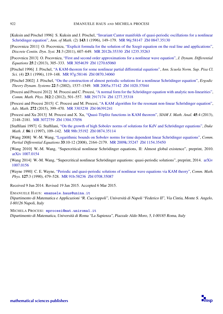- <span id="page-40-7"></span>[Kuksin and Pöschel 1996] S. Kuksin and J. Pöschel, ["Invariant Cantor manifolds of quasi-periodic oscillations for a nonlinear](http://dx.doi.org/10.2307/2118656) [Schrödinger equation",](http://dx.doi.org/10.2307/2118656) *Ann. of Math.* (2) 143:1 (1996), 149–179. [MR 96j:58147](http://msp.org/idx/mr/96j:58147) [Zbl 0847.35130](http://msp.org/idx/zbl/0847.35130)
- <span id="page-40-1"></span>[Pocovnicu 2011] O. Pocovnicu, ["Explicit formula for the solution of the Szegö equation on the real line and applications",](http://dx.doi.org/10.3934/dcds.2011.31.607) *Discrete Contin. Dyn. Syst.* 31:3 (2011), 607–649. [MR 2012h:35330](http://msp.org/idx/mr/2012h:35330) [Zbl 1235.35263](http://msp.org/idx/zbl/1235.35263)
- <span id="page-40-2"></span>[Pocovnicu 2013] O. Pocovnicu, ["First and second order approximations for a nonlinear wave equation",](http://dx.doi.org/10.1007/s10884-013-9286-5) *J. Dynam. Differential Equations* 25:2 (2013), 305–333. [MR 3054639](http://msp.org/idx/mr/3054639) [Zbl 1270.65060](http://msp.org/idx/zbl/1270.65060)
- <span id="page-40-6"></span>[Pöschel 1996] J. Pöschel, ["A KAM-theorem for some nonlinear partial differential equations",](http://www.numdam.org/item?id=ASNSP_1996_4_23_1_119_0) *Ann. Scuola Norm. Sup. Pisa Cl. Sci.* (4) 23:1 (1996), 119–148. [MR 97g:58146](http://msp.org/idx/mr/97g:58146) [Zbl 0870.34060](http://msp.org/idx/zbl/0870.34060)
- <span id="page-40-11"></span>[Pöschel 2002] J. Pöschel, ["On the construction of almost periodic solutions for a nonlinear Schrödinger equation",](http://dx.doi.org/10.1017/S0143385702001086) *Ergodic Theory Dynam. Systems* 22:5 (2002), 1537–1549. [MR 2005a:37142](http://msp.org/idx/mr/2005a:37142) [Zbl 1020.37044](http://msp.org/idx/zbl/1020.37044)
- <span id="page-40-12"></span>[Procesi and Procesi 2012] M. Procesi and C. Procesi, ["A normal form for the Schrödinger equation with analytic non-linearities",](http://dx.doi.org/10.1007/s00220-012-1483-2) *Comm. Math. Phys.* 312:2 (2012), 501–557. [MR 2917174](http://msp.org/idx/mr/2917174) [Zbl 1277.35318](http://msp.org/idx/zbl/1277.35318)
- <span id="page-40-10"></span>[Procesi and Procesi 2015] C. Procesi and M. Procesi, ["A KAM algorithm for the resonant non-linear Schrödinger equation",](http://dx.doi.org/10.1016/j.aim.2014.12.004) *Adv. Math.* 272 (2015), 399–470. [MR 3303238](http://msp.org/idx/mr/3303238) [Zbl 06391241](http://msp.org/idx/zbl/06391241)
- <span id="page-40-9"></span>[Procesi and Xu 2013] M. Procesi and X. Xu, ["Quasi-Töplitz functions in KAM theorem",](http://dx.doi.org/10.1137/110833014) *SIAM J. Math. Anal.* 45:4 (2013), 2148–2181. [MR 3072759](http://msp.org/idx/mr/3072759) [Zbl 1304.37056](http://msp.org/idx/zbl/1304.37056)
- <span id="page-40-0"></span>[Staffilani 1997] G. Staffilani, ["On the growth of high Sobolev norms of solutions for KdV and Schrödinger equations",](http://dx.doi.org/10.1215/S0012-7094-97-08604-X) *Duke Math. J.* 86:1 (1997), 109–142. [MR 98b:35192](http://msp.org/idx/mr/98b:35192) [Zbl 0874.35114](http://msp.org/idx/zbl/0874.35114)
- <span id="page-40-3"></span>[Wang 2008] W.-M. Wang, ["Logarithmic bounds on Sobolev norms for time dependent linear Schrödinger equations",](http://dx.doi.org/10.1080/03605300802537115) *Comm. Partial Differential Equations* 33:10-12 (2008), 2164–2179. [MR 2009k:35247](http://msp.org/idx/mr/2009k:35247) [Zbl 1154.35450](http://msp.org/idx/zbl/1154.35450)
- <span id="page-40-4"></span>[Wang 2010] W.-M. Wang, "Supercritical nonlinear Schrödinger equations, II: Almost global existence", preprint, 2010. [arXiv 1007.0154](http://msp.org/idx/arx/1007.0154)
- <span id="page-40-8"></span>[Wang 2014] W.-M. Wang, "Supercritical nonlinear Schrödinger equations: quasi-periodic solutions", preprint, 2014. [arXiv](http://msp.org/idx/arx/1007.0156) [1007.0156](http://msp.org/idx/arx/1007.0156)
- <span id="page-40-5"></span>[Wayne 1990] C. E. Wayne, ["Periodic and quasi-periodic solutions of nonlinear wave equations via KAM theory",](http://dx.doi.org/10.1007/BF02104499) *Comm. Math. Phys.* 127:3 (1990), 479–528. [MR 91b:58236](http://msp.org/idx/mr/91b:58236) [Zbl 0708.35087](http://msp.org/idx/zbl/0708.35087)
- Received 9 Jun 2014. Revised 19 Jan 2015. Accepted 6 Mar 2015.
- EMANUELE HAUS: [emanuele.haus@unina.it](mailto:emanuele.haus@unina.it)
- Dipartimento di Matematica e Applicazioni "R. Caccioppoli", Università di Napoli "Federico II", Via Cintia, Monte S. Angelo, I-80126 Napoli, Italy
- MICHELA PROCESI: [mprocesi@mat.uniroma1.it](mailto:mprocesi@mat.uniroma1.it) Dipartimento di Matematica, Università di Roma "La Sapienza", Piazzale Aldo Moro, 5, I-00185 Roma, Italy

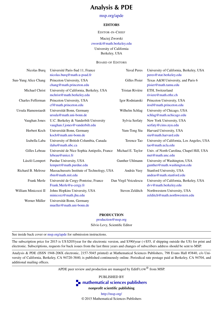## Analysis & PDE

#### [msp.org/apde](http://msp.org/apde)

#### EDITORS

EDITOR-IN-CHIEF

Maciej Zworski

[zworski@math.berkeley.edu](mailto:zworski@math.berkeley.edu)

University of California

Berkeley, USA

#### BOARD OF EDITORS

| Nicolas Burq         | Université Paris-Sud 11, France<br>nicolas.burq@math.u-psud.fr          | <b>Yuval Peres</b>    | University of California, Berkeley, USA<br>peres@stat.berkeley.edu |
|----------------------|-------------------------------------------------------------------------|-----------------------|--------------------------------------------------------------------|
| Sun-Yung Alice Chang | Princeton University, USA<br>chang@math.princeton.edu                   | Gilles Pisier         | Texas A&M University, and Paris 6<br>pisier@math.tamu.edu          |
| Michael Christ       | University of California, Berkeley, USA<br>mchrist@math.berkeley.edu    | Tristan Rivière       | ETH, Switzerland<br>riviere@math.ethz.ch                           |
| Charles Fefferman    | Princeton University, USA<br>cf@math.princeton.edu                      | Igor Rodnianski       | Princeton University, USA<br>irod@math.princeton.edu               |
| Ursula Hamenstaedt   | Universität Bonn, Germany<br>ursula@math.uni-bonn.de                    | Wilhelm Schlag        | University of Chicago, USA<br>schlag@math.uchicago.edu             |
| Vaughan Jones        | U.C. Berkeley & Vanderbilt University<br>vaughan.f.jones@vanderbilt.edu | Sylvia Serfaty        | New York University, USA<br>serfaty@cims.nyu.edu                   |
| Herbert Koch         | Universität Bonn, Germany<br>koch@math.uni-bonn.de                      | Yum-Tong Siu          | Harvard University, USA<br>siu@math.harvard.edu                    |
| Izabella Laba        | University of British Columbia, Canada<br>ilaba@math.ubc.ca             | Terence Tao           | University of California, Los Angeles, USA<br>tao@math.ucla.edu    |
| Gilles Lebeau        | Université de Nice Sophia Antipolis, France<br>lebeau@unice.fr          | Michael E. Taylor     | Univ. of North Carolina, Chapel Hill, USA<br>met@math.unc.edu      |
| László Lempert       | Purdue University, USA<br>lempert@math.purdue.edu                       | Gunther Uhlmann       | University of Washington, USA<br>gunther@math.washington.edu       |
| Richard B. Melrose   | Massachussets Institute of Technology, USA<br>rbm@math.math.mit.edu     | András Vasy           | Stanford University, USA<br>andras@math.stanford.edu               |
| Frank Merle          | Université de Cergy-Pontoise, France<br>Frank.Merle@u-cergy.fr          | Dan Virgil Voiculescu | University of California, Berkeley, USA<br>dvv@math.berkeley.edu   |
| William Minicozzi II | Johns Hopkins University, USA<br>minicozz@math.jhu.edu                  | Steven Zelditch       | Northwestern University, USA<br>zelditch@math.northwestern.edu     |
| Werner Müller        | Universität Bonn, Germany<br>mueller@math.uni-bonn.de                   |                       |                                                                    |

#### PRODUCTION

[production@msp.org](mailto:production@msp.org)

Silvio Levy, Scientific Editor

See inside back cover or [msp.org/apde](http://msp.org/apde) for submission instructions.

The subscription price for 2015 is US \$205/year for the electronic version, and \$390/year (+\$55, if shipping outside the US) for print and electronic. Subscriptions, requests for back issues from the last three years and changes of subscribers address should be sent to MSP.

Analysis & PDE (ISSN 1948-206X electronic, 2157-5045 printed) at Mathematical Sciences Publishers, 798 Evans Hall #3840, c/o University of California, Berkeley, CA 94720-3840, is published continuously online. Periodical rate postage paid at Berkeley, CA 94704, and additional mailing offices.

APDE peer review and production are managed by EditFLOW® from MSP.

PUBLISHED BY

**n** [mathematical sciences publishers](http://msp.org/)

nonprofit scientific publishing

<http://msp.org/> © 2015 Mathematical Sciences Publishers